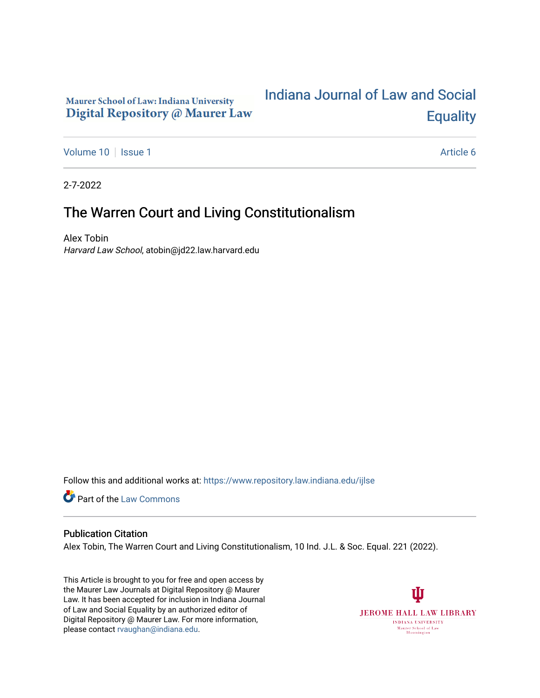# Maurer School of Law: Indiana University Digital Repository @ Maurer Law

# [Indiana Journal of Law and Social](https://www.repository.law.indiana.edu/ijlse)  **Equality**

[Volume 10](https://www.repository.law.indiana.edu/ijlse/vol10) | [Issue 1](https://www.repository.law.indiana.edu/ijlse/vol10/iss1) Article 6

2-7-2022

# The Warren Court and Living Constitutionalism

Alex Tobin Harvard Law School, atobin@jd22.law.harvard.edu

Follow this and additional works at: [https://www.repository.law.indiana.edu/ijlse](https://www.repository.law.indiana.edu/ijlse?utm_source=www.repository.law.indiana.edu%2Fijlse%2Fvol10%2Fiss1%2F6&utm_medium=PDF&utm_campaign=PDFCoverPages)

Part of the [Law Commons](http://network.bepress.com/hgg/discipline/578?utm_source=www.repository.law.indiana.edu%2Fijlse%2Fvol10%2Fiss1%2F6&utm_medium=PDF&utm_campaign=PDFCoverPages)

#### Publication Citation

Alex Tobin, The Warren Court and Living Constitutionalism, 10 Ind. J.L. & Soc. Equal. 221 (2022).

This Article is brought to you for free and open access by the Maurer Law Journals at Digital Repository @ Maurer Law. It has been accepted for inclusion in Indiana Journal of Law and Social Equality by an authorized editor of Digital Repository @ Maurer Law. For more information, please contact [rvaughan@indiana.edu.](mailto:rvaughan@indiana.edu)

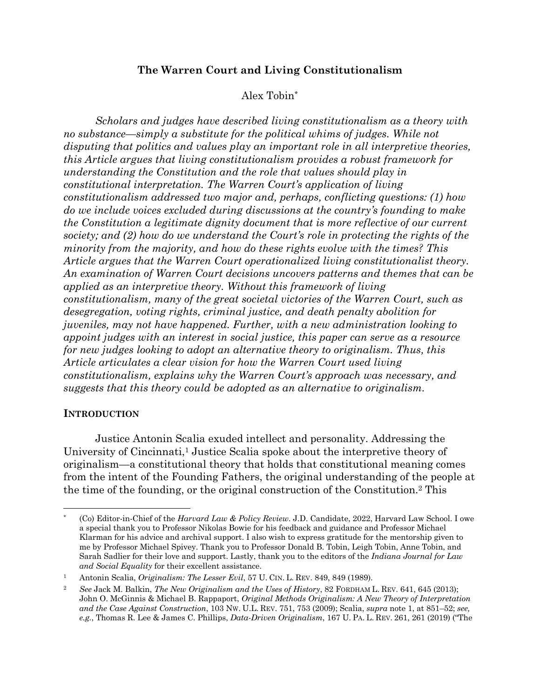# **The Warren Court and Living Constitutionalism**

# Alex Tobin\*

*Scholars and judges have described living constitutionalism as a theory with no substance—simply a substitute for the political whims of judges. While not disputing that politics and values play an important role in all interpretive theories, this Article argues that living constitutionalism provides a robust framework for understanding the Constitution and the role that values should play in constitutional interpretation. The Warren Court's application of living constitutionalism addressed two major and, perhaps, conflicting questions: (1) how do we include voices excluded during discussions at the country's founding to make the Constitution a legitimate dignity document that is more reflective of our current society; and (2) how do we understand the Court's role in protecting the rights of the minority from the majority, and how do these rights evolve with the times? This*  Article argues that the Warren Court operationalized living constitutionalist theory. *An examination of Warren Court decisions uncovers patterns and themes that can be applied as an interpretive theory. Without this framework of living constitutionalism, many of the great societal victories of the Warren Court, such as desegregation, voting rights, criminal justice, and death penalty abolition for juveniles, may not have happened. Further, with a new administration looking to appoint judges with an interest in social justice, this paper can serve as a resource for new judges looking to adopt an alternative theory to originalism. Thus, this Article articulates a clear vision for how the Warren Court used living constitutionalism, explains why the Warren Court's approach was necessary, and suggests that this theory could be adopted as an alternative to originalism.*

#### **INTRODUCTION**

Justice Antonin Scalia exuded intellect and personality. Addressing the University of Cincinnati,<sup>1</sup> Justice Scalia spoke about the interpretive theory of originalism—a constitutional theory that holds that constitutional meaning comes from the intent of the Founding Fathers, the original understanding of the people at the time of the founding, or the original construction of the Constitution.2 This

<sup>\*</sup> (Co) Editor-in-Chief of the *Harvard Law & Policy Review*. J.D. Candidate, 2022, Harvard Law School. I owe a special thank you to Professor Nikolas Bowie for his feedback and guidance and Professor Michael Klarman for his advice and archival support. I also wish to express gratitude for the mentorship given to me by Professor Michael Spivey. Thank you to Professor Donald B. Tobin, Leigh Tobin, Anne Tobin, and Sarah Sadlier for their love and support. Lastly, thank you to the editors of the *Indiana Journal for Law and Social Equality* for their excellent assistance.

<sup>1</sup> Antonin Scalia, *Originalism: The Lesser Evil*, 57 U. CIN. L. REV. 849, 849 (1989).

<sup>2</sup> *See* Jack M. Balkin, *The New Originalism and the Uses of History*, 82 FORDHAM L. REV. 641, 645 (2013); John O. McGinnis & Michael B. Rappaport, *Original Methods Originalism: A New Theory of Interpretation and the Case Against Construction*, 103 NW. U.L. REV. 751, 753 (2009); Scalia, *supra* note 1, at 851–52; *see, e.g.*, Thomas R. Lee & James C. Phillips, *Data-Driven Originalism*, 167 U. PA. L. REV. 261, 261 (2019) ("The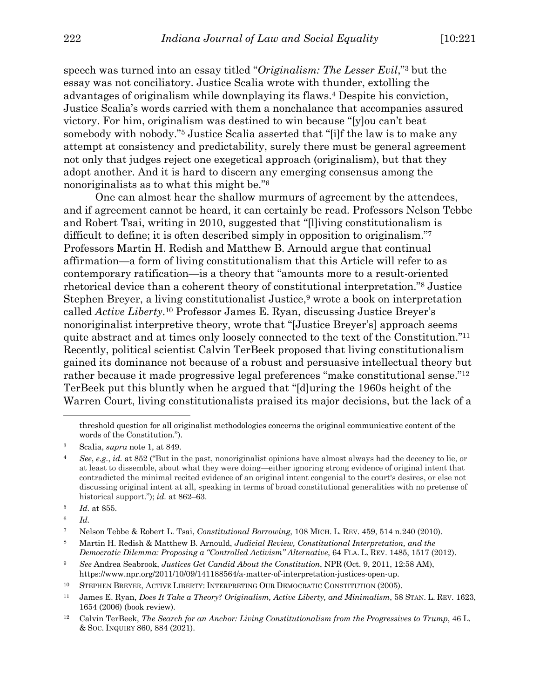speech was turned into an essay titled "*Originalism: The Lesser Evil*,"3 but the essay was not conciliatory. Justice Scalia wrote with thunder, extolling the advantages of originalism while downplaying its flaws.4 Despite his conviction, Justice Scalia's words carried with them a nonchalance that accompanies assured victory. For him, originalism was destined to win because "[y]ou can't beat somebody with nobody."5 Justice Scalia asserted that "[i]f the law is to make any attempt at consistency and predictability, surely there must be general agreement not only that judges reject one exegetical approach (originalism), but that they adopt another. And it is hard to discern any emerging consensus among the nonoriginalists as to what this might be."6

One can almost hear the shallow murmurs of agreement by the attendees, and if agreement cannot be heard, it can certainly be read. Professors Nelson Tebbe and Robert Tsai, writing in 2010, suggested that "[l]iving constitutionalism is difficult to define; it is often described simply in opposition to originalism."7 Professors Martin H. Redish and Matthew B. Arnould argue that continual affirmation—a form of living constitutionalism that this Article will refer to as contemporary ratification—is a theory that "amounts more to a result-oriented rhetorical device than a coherent theory of constitutional interpretation."8 Justice Stephen Breyer, a living constitutionalist Justice,<sup>9</sup> wrote a book on interpretation called *Active Liberty*.10 Professor James E. Ryan, discussing Justice Breyer's nonoriginalist interpretive theory, wrote that "[Justice Breyer's] approach seems quite abstract and at times only loosely connected to the text of the Constitution."11 Recently, political scientist Calvin TerBeek proposed that living constitutionalism gained its dominance not because of a robust and persuasive intellectual theory but rather because it made progressive legal preferences "make constitutional sense."12 TerBeek put this bluntly when he argued that "[d]uring the 1960s height of the Warren Court, living constitutionalists praised its major decisions, but the lack of a

<sup>6</sup> *Id.*

threshold question for all originalist methodologies concerns the original communicative content of the words of the Constitution.").

<sup>3</sup> Scalia, *supra* note 1, at 849.

<sup>4</sup> *See*, *e.g.*, *id.* at 852 ("But in the past, nonoriginalist opinions have almost always had the decency to lie, or at least to dissemble, about what they were doing—either ignoring strong evidence of original intent that contradicted the minimal recited evidence of an original intent congenial to the court's desires, or else not discussing original intent at all, speaking in terms of broad constitutional generalities with no pretense of historical support."); *id.* at 862–63.

<sup>5</sup> *Id.* at 855.

<sup>7</sup> Nelson Tebbe & Robert L. Tsai, *Constitutional Borrowing*, 108 MICH. L. REV. 459, 514 n.240 (2010).

<sup>8</sup> Martin H. Redish & Matthew B. Arnould, *Judicial Review, Constitutional Interpretation, and the Democratic Dilemma: Proposing a "Controlled Activism" Alternative*, 64 FLA. L. REV. 1485, 1517 (2012).

<sup>9</sup> *See* Andrea Seabrook, *Justices Get Candid About the Constitution*, NPR (Oct. 9, 2011, 12:58 AM), https://www.npr.org/2011/10/09/141188564/a-matter-of-interpretation-justices-open-up.

<sup>10</sup> STEPHEN BREYER, ACTIVE LIBERTY: INTERPRETING OUR DEMOCRATIC CONSTITUTION (2005).

<sup>11</sup> James E. Ryan, *Does It Take a Theory? Originalism, Active Liberty, and Minimalism*, 58 STAN. L. REV. 1623, 1654 (2006) (book review).

<sup>12</sup> Calvin TerBeek, *The Search for an Anchor: Living Constitutionalism from the Progressives to Trump*, 46 L. & SOC. INQUIRY 860, 884 (2021).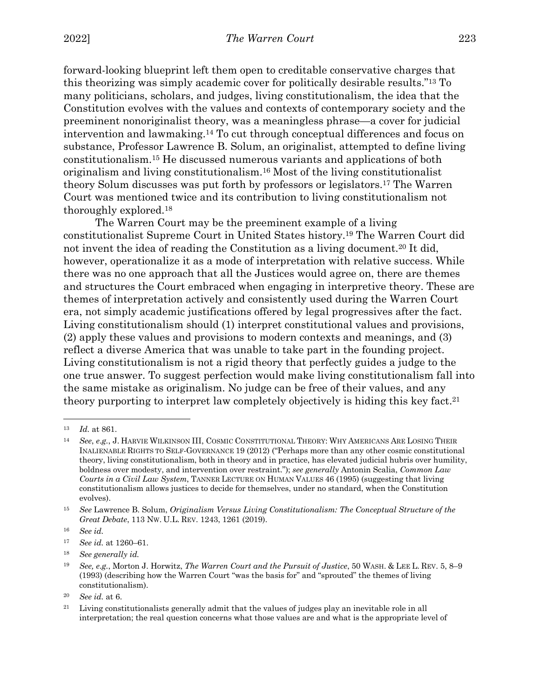forward-looking blueprint left them open to creditable conservative charges that this theorizing was simply academic cover for politically desirable results."13 To many politicians, scholars, and judges, living constitutionalism, the idea that the Constitution evolves with the values and contexts of contemporary society and the preeminent nonoriginalist theory, was a meaningless phrase—a cover for judicial intervention and lawmaking.14 To cut through conceptual differences and focus on substance, Professor Lawrence B. Solum, an originalist, attempted to define living constitutionalism.15 He discussed numerous variants and applications of both originalism and living constitutionalism.16 Most of the living constitutionalist theory Solum discusses was put forth by professors or legislators.17 The Warren Court was mentioned twice and its contribution to living constitutionalism not thoroughly explored.18

The Warren Court may be the preeminent example of a living constitutionalist Supreme Court in United States history.19 The Warren Court did not invent the idea of reading the Constitution as a living document.<sup>20</sup> It did, however, operationalize it as a mode of interpretation with relative success. While there was no one approach that all the Justices would agree on, there are themes and structures the Court embraced when engaging in interpretive theory. These are themes of interpretation actively and consistently used during the Warren Court era, not simply academic justifications offered by legal progressives after the fact. Living constitutionalism should (1) interpret constitutional values and provisions, (2) apply these values and provisions to modern contexts and meanings, and (3) reflect a diverse America that was unable to take part in the founding project. Living constitutionalism is not a rigid theory that perfectly guides a judge to the one true answer. To suggest perfection would make living constitutionalism fall into the same mistake as originalism. No judge can be free of their values, and any theory purporting to interpret law completely objectively is hiding this key fact.21

<sup>13</sup> *Id.* at 861.

<sup>14</sup> *See*, *e*.*g.*, J. HARVIE WILKINSON III, COSMIC CONSTITUTIONAL THEORY: WHY AMERICANS ARE LOSING THEIR INALIENABLE RIGHTS TO SELF-GOVERNANCE 19 (2012) ("Perhaps more than any other cosmic constitutional theory, living constitutionalism, both in theory and in practice, has elevated judicial hubris over humility, boldness over modesty, and intervention over restraint."); *see generally* Antonin Scalia, *Common Law Courts in a Civil Law System*, TANNER LECTURE ON HUMAN VALUES 46 (1995) (suggesting that living constitutionalism allows justices to decide for themselves, under no standard, when the Constitution evolves).

<sup>15</sup> *See* Lawrence B. Solum, *Originalism Versus Living Constitutionalism: The Conceptual Structure of the Great Debate*, 113 NW. U.L. REV. 1243, 1261 (2019).

<sup>16</sup> *See id.*

<sup>17</sup> *See id.* at 1260–61.

<sup>18</sup> *See generally id.* 

<sup>19</sup> *See, e.g.*, Morton J. Horwitz, *The Warren Court and the Pursuit of Justice*, 50 WASH. & LEE L. REV. 5, 8–9 (1993) (describing how the Warren Court "was the basis for" and "sprouted" the themes of living constitutionalism).

<sup>20</sup> *See id.* at 6.

<sup>&</sup>lt;sup>21</sup> Living constitutionalists generally admit that the values of judges play an inevitable role in all interpretation; the real question concerns what those values are and what is the appropriate level of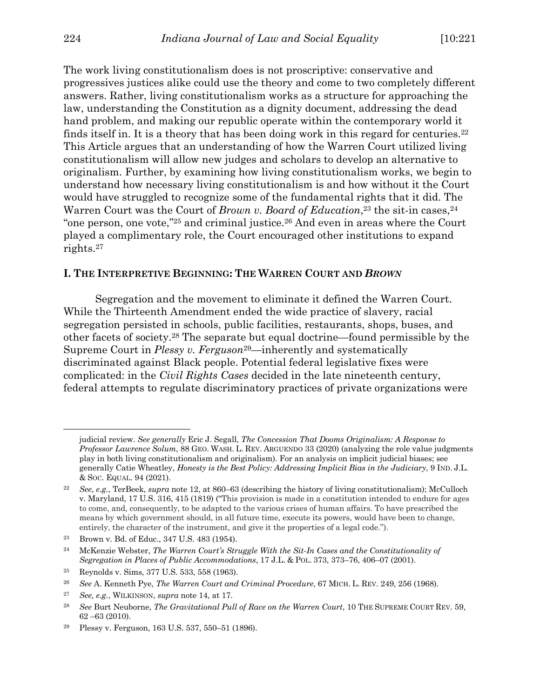The work living constitutionalism does is not proscriptive: conservative and progressives justices alike could use the theory and come to two completely different answers. Rather, living constitutionalism works as a structure for approaching the law, understanding the Constitution as a dignity document, addressing the dead hand problem, and making our republic operate within the contemporary world it finds itself in. It is a theory that has been doing work in this regard for centuries.<sup>22</sup> This Article argues that an understanding of how the Warren Court utilized living constitutionalism will allow new judges and scholars to develop an alternative to originalism. Further, by examining how living constitutionalism works, we begin to understand how necessary living constitutionalism is and how without it the Court would have struggled to recognize some of the fundamental rights that it did. The Warren Court was the Court of *Brown v. Board of Education*<sup>23</sup> the sit-in cases<sup>24</sup> "one person, one vote,"25 and criminal justice.26 And even in areas where the Court played a complimentary role, the Court encouraged other institutions to expand rights.27

#### **I. THE INTERPRETIVE BEGINNING: THE WARREN COURT AND** *BROWN*

Segregation and the movement to eliminate it defined the Warren Court. While the Thirteenth Amendment ended the wide practice of slavery, racial segregation persisted in schools, public facilities, restaurants, shops, buses, and other facets of society.28 The separate but equal doctrine—found permissible by the Supreme Court in *Plessy v. Ferguson*29—inherently and systematically discriminated against Black people. Potential federal legislative fixes were complicated: in the *Civil Rights Cases* decided in the late nineteenth century, federal attempts to regulate discriminatory practices of private organizations were

judicial review. *See generally* Eric J. Segall, *The Concession That Dooms Originalism: A Response to Professor Lawrence Solum*, 88 GEO. WASH. L. REV. ARGUENDO 33 (2020) (analyzing the role value judgments play in both living constitutionalism and originalism). For an analysis on implicit judicial biases; see generally Catie Wheatley, *Honesty is the Best Policy: Addressing Implicit Bias in the Judiciary*, 9 IND. J.L. & SOC. EQUAL. 94 (2021).

<sup>22</sup> *See*, *e.g.*, TerBeek, *supra* note 12, at 860–63 (describing the history of living constitutionalism); McCulloch v. Maryland, 17 U.S. 316, 415 (1819) ("This provision is made in a constitution intended to endure for ages to come, and, consequently, to be adapted to the various crises of human affairs. To have prescribed the means by which government should, in all future time, execute its powers, would have been to change, entirely, the character of the instrument, and give it the properties of a legal code.").

<sup>23</sup> Brown v. Bd. of Educ., 347 U.S. 483 (1954).

<sup>24</sup> McKenzie Webster, *The Warren Court's Struggle With the Sit-In Cases and the Constitutionality of Segregation in Places of Public Accommodations*, 17 J.L. & POL. 373, 373–76, 406–07 (2001).

<sup>25</sup> Reynolds v. Sims, 377 U.S. 533, 558 (1963).

<sup>26</sup> *See* A. Kenneth Pye, *The Warren Court and Criminal Procedure*, 67 MICH. L. REV. 249, 256 (1968).

<sup>27</sup> *See, e.g.*, WILKINSON, *supra* note 14, at 17.

<sup>28</sup> *See* Burt Neuborne, *The Gravitational Pull of Race on the Warren Court*, 10 THE SUPREME COURT REV. 59, 62 –63 (2010).

<sup>29</sup> Plessy v. Ferguson, 163 U.S. 537, 550–51 (1896).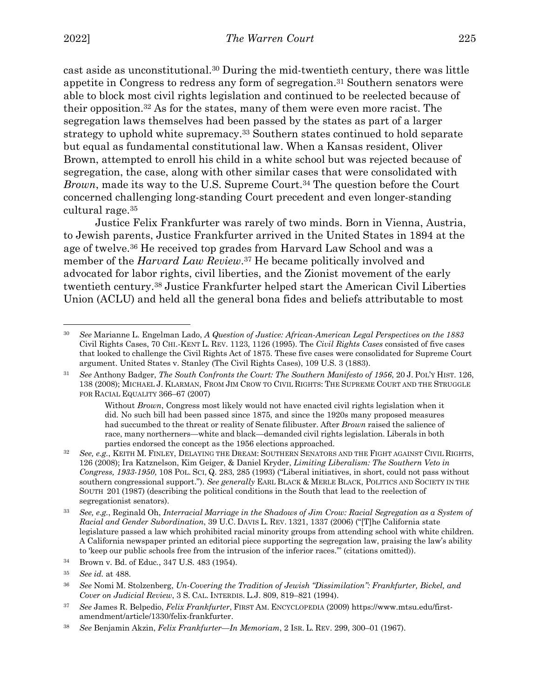cast aside as unconstitutional.30 During the mid-twentieth century, there was little appetite in Congress to redress any form of segregation.31 Southern senators were able to block most civil rights legislation and continued to be reelected because of their opposition.32 As for the states, many of them were even more racist. The segregation laws themselves had been passed by the states as part of a larger strategy to uphold white supremacy.33 Southern states continued to hold separate but equal as fundamental constitutional law. When a Kansas resident, Oliver Brown, attempted to enroll his child in a white school but was rejected because of segregation, the case, along with other similar cases that were consolidated with *Brown*, made its way to the U.S. Supreme Court.<sup>34</sup> The question before the Court concerned challenging long-standing Court precedent and even longer-standing cultural rage.35

Justice Felix Frankfurter was rarely of two minds. Born in Vienna, Austria, to Jewish parents, Justice Frankfurter arrived in the United States in 1894 at the age of twelve.36 He received top grades from Harvard Law School and was a member of the *Harvard Law Review*.37 He became politically involved and advocated for labor rights, civil liberties, and the Zionist movement of the early twentieth century.38 Justice Frankfurter helped start the American Civil Liberties Union (ACLU) and held all the general bona fides and beliefs attributable to most

<sup>36</sup> *See* Nomi M. Stolzenberg, *Un-Covering the Tradition of Jewish "Dissimilation": Frankfurter, Bickel, and Cover on Judicial Review*, 3 S. CAL. INTERDIS. L.J. 809, 819–821 (1994).

<sup>30</sup> *See* Marianne L. Engelman Lado, *A Question of Justice: African-American Legal Perspectives on the 1883*  Civil Rights Cases, 70 CHI.-KENT L. REV. 1123, 1126 (1995). The *Civil Rights Cases* consisted of five cases that looked to challenge the Civil Rights Act of 1875. These five cases were consolidated for Supreme Court argument. United States v. Stanley (The Civil Rights Cases), 109 U.S. 3 (1883).

<sup>31</sup> *See* Anthony Badger, *The South Confronts the Court: The Southern Manifesto of 1956*, 20 J. POL'Y HIST. 126, 138 (2008); MICHAEL J. KLARMAN, FROM JIM CROW TO CIVIL RIGHTS: THE SUPREME COURT AND THE STRUGGLE FOR RACIAL EQUALITY 366–67 (2007)

Without *Brown*, Congress most likely would not have enacted civil rights legislation when it did. No such bill had been passed since 1875, and since the 1920s many proposed measures had succumbed to the threat or reality of Senate filibuster. After *Brown* raised the salience of race, many northerners—white and black—demanded civil rights legislation. Liberals in both parties endorsed the concept as the 1956 elections approached.

<sup>32</sup> *See, e.g.*, KEITH M. FINLEY, DELAYING THE DREAM: SOUTHERN SENATORS AND THE FIGHT AGAINST CIVIL RIGHTS, 126 (2008); Ira Katznelson, Kim Geiger, & Daniel Kryder, *Limiting Liberalism: The Southern Veto in Congress, 1933-1950*, 108 POL. SCI, Q. 283, 285 (1993) ("Liberal initiatives, in short, could not pass without southern congressional support."). *See generally* EARL BLACK & MERLE BLACK, POLITICS AND SOCIETY IN THE SOUTH 201 (1987) (describing the political conditions in the South that lead to the reelection of segregationist senators).

<sup>33</sup> *See, e.g.*, Reginald Oh, *Interracial Marriage in the Shadows of Jim Crow: Racial Segregation as a System of Racial and Gender Subordination*, 39 U.C. DAVIS L. REV. 1321, 1337 (2006) ("[T]he California state legislature passed a law which prohibited racial minority groups from attending school with white children. A California newspaper printed an editorial piece supporting the segregation law, praising the law's ability to 'keep our public schools free from the intrusion of the inferior races.'" (citations omitted)).

<sup>34</sup> Brown v. Bd. of Educ*.*, 347 U.S. 483 (1954).

<sup>35</sup> *See id.* at 488.

<sup>37</sup> *See* James R. Belpedio, *Felix Frankfurter*, FIRST AM. ENCYCLOPEDIA (2009) https://www.mtsu.edu/firstamendment/article/1330/felix-frankfurter.

<sup>38</sup> *See* Benjamin Akzin, *Felix Frankfurter—In Memoriam*, 2 ISR. L. REV. 299, 300–01 (1967).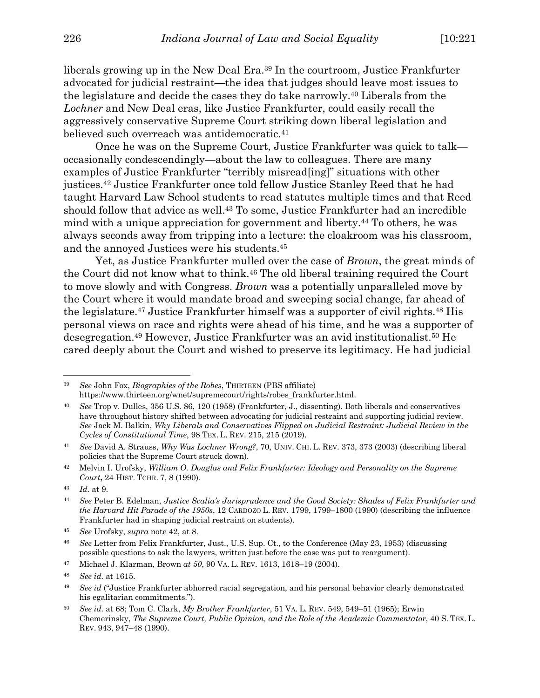liberals growing up in the New Deal Era.39 In the courtroom, Justice Frankfurter advocated for judicial restraint—the idea that judges should leave most issues to the legislature and decide the cases they do take narrowly.40 Liberals from the *Lochner* and New Deal eras, like Justice Frankfurter, could easily recall the aggressively conservative Supreme Court striking down liberal legislation and believed such overreach was antidemocratic.<sup>41</sup>

Once he was on the Supreme Court, Justice Frankfurter was quick to talk occasionally condescendingly—about the law to colleagues. There are many examples of Justice Frankfurter "terribly misread[ing]" situations with other justices.42 Justice Frankfurter once told fellow Justice Stanley Reed that he had taught Harvard Law School students to read statutes multiple times and that Reed should follow that advice as well.43 To some, Justice Frankfurter had an incredible mind with a unique appreciation for government and liberty.44 To others, he was always seconds away from tripping into a lecture: the cloakroom was his classroom, and the annoyed Justices were his students.45

Yet, as Justice Frankfurter mulled over the case of *Brown*, the great minds of the Court did not know what to think.46 The old liberal training required the Court to move slowly and with Congress. *Brown* was a potentially unparalleled move by the Court where it would mandate broad and sweeping social change, far ahead of the legislature.47 Justice Frankfurter himself was a supporter of civil rights.48 His personal views on race and rights were ahead of his time, and he was a supporter of desegregation.49 However, Justice Frankfurter was an avid institutionalist.50 He cared deeply about the Court and wished to preserve its legitimacy. He had judicial

<sup>39</sup> *See* John Fox, *Biographies of the Robes*, THIRTEEN (PBS affiliate) https://www.thirteen.org/wnet/supremecourt/rights/robes\_frankfurter.html.

<sup>40</sup> *See* Trop v. Dulles, 356 U.S. 86, 120 (1958) (Frankfurter, J., dissenting). Both liberals and conservatives have throughout history shifted between advocating for judicial restraint and supporting judicial review. *See* Jack M. Balkin, *Why Liberals and Conservatives Flipped on Judicial Restraint: Judicial Review in the Cycles of Constitutional Time*, 98 TEX. L. REV. 215, 215 (2019).

<sup>41</sup> *See* David A. Strauss, *Why Was Lochner Wrong?*, 70, UNIV. CHI. L. REV. 373, 373 (2003) (describing liberal policies that the Supreme Court struck down).

<sup>42</sup> Melvin I. Urofsky, *William O. Douglas and Felix Frankfurter: Ideology and Personality on the Supreme Court***,** 24 HIST. TCHR. 7, 8 (1990).

<sup>43</sup> *Id.* at 9.

<sup>44</sup> *See* Peter B. Edelman, *Justice Scalia's Jurisprudence and the Good Society: Shades of Felix Frankfurter and the Harvard Hit Parade of the 1950s*, 12 CARDOZO L. REV. 1799, 1799–1800 (1990) (describing the influence Frankfurter had in shaping judicial restraint on students).

<sup>45</sup> *See* Urofsky, *supra* note 42, at 8.

<sup>46</sup> *See* Letter from Felix Frankfurter, Just., U.S. Sup. Ct., to the Conference (May 23, 1953) (discussing possible questions to ask the lawyers, written just before the case was put to reargument).

<sup>47</sup> Michael J. Klarman, Brown *at 50*, 90 VA. L. REV. 1613, 1618–19 (2004).

<sup>48</sup> *See id.* at 1615.

<sup>49</sup> *See id* ("Justice Frankfurter abhorred racial segregation, and his personal behavior clearly demonstrated his egalitarian commitments.").

<sup>50</sup> *See id.* at 68; Tom C. Clark, *My Brother Frankfurter*, 51 VA. L. REV. 549, 549–51 (1965); Erwin Chemerinsky, *The Supreme Court, Public Opinion, and the Role of the Academic Commentator*, 40 S. TEX. L. REV. 943, 947–48 (1990).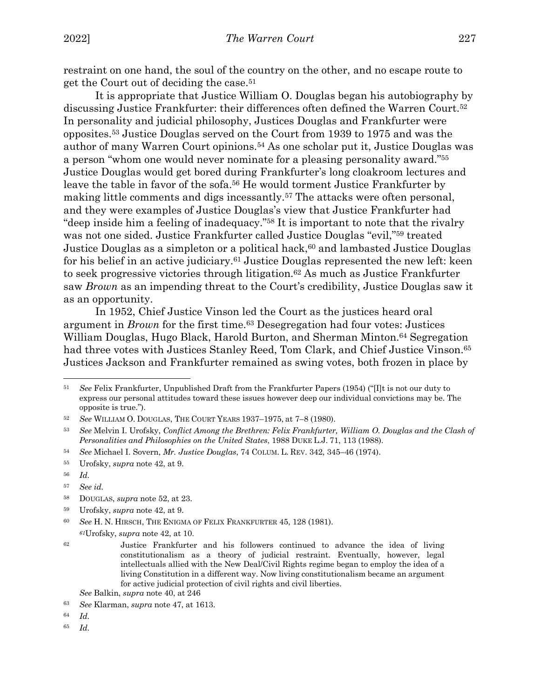restraint on one hand, the soul of the country on the other, and no escape route to get the Court out of deciding the case.51

It is appropriate that Justice William O. Douglas began his autobiography by discussing Justice Frankfurter: their differences often defined the Warren Court.52 In personality and judicial philosophy, Justices Douglas and Frankfurter were opposites.53 Justice Douglas served on the Court from 1939 to 1975 and was the author of many Warren Court opinions.54 As one scholar put it, Justice Douglas was a person "whom one would never nominate for a pleasing personality award."55 Justice Douglas would get bored during Frankfurter's long cloakroom lectures and leave the table in favor of the sofa.<sup>56</sup> He would torment Justice Frankfurter by making little comments and digs incessantly.57 The attacks were often personal, and they were examples of Justice Douglas's view that Justice Frankfurter had "deep inside him a feeling of inadequacy."58 It is important to note that the rivalry was not one sided. Justice Frankfurter called Justice Douglas "evil,"59 treated Justice Douglas as a simpleton or a political hack,<sup>60</sup> and lambasted Justice Douglas for his belief in an active judiciary.<sup>61</sup> Justice Douglas represented the new left: keen to seek progressive victories through litigation.62 As much as Justice Frankfurter saw *Brown* as an impending threat to the Court's credibility, Justice Douglas saw it as an opportunity.

In 1952, Chief Justice Vinson led the Court as the justices heard oral argument in *Brown* for the first time.63 Desegregation had four votes: Justices William Douglas, Hugo Black, Harold Burton, and Sherman Minton.<sup>64</sup> Segregation had three votes with Justices Stanley Reed, Tom Clark, and Chief Justice Vinson.<sup>65</sup> Justices Jackson and Frankfurter remained as swing votes, both frozen in place by

<sup>60</sup> *See* H. N. HIRSCH, THE ENIGMA OF FELIX FRANKFURTER 45, 128 (1981).

*<sup>61</sup>*Urofsky, *supra* note 42, at 10.

*See* Balkin, *supra* note 40, at 246

<sup>64</sup> *Id.*

<sup>51</sup> *See* Felix Frankfurter, Unpublished Draft from the Frankfurter Papers (1954) ("[I]t is not our duty to express our personal attitudes toward these issues however deep our individual convictions may be. The opposite is true.").

<sup>52</sup> *See* WILLIAM O. DOUGLAS, THE COURT YEARS 1937–1975, at 7–8 (1980).

<sup>53</sup> *See* Melvin I. Urofsky, *Conflict Among the Brethren: Felix Frankfurter, William O. Douglas and the Clash of Personalities and Philosophies on the United States*, 1988 DUKE L.J. 71, 113 (1988).

<sup>54</sup> *See* Michael I. Sovern, *Mr. Justice Douglas*, 74 COLUM. L. REV. 342, 345–46 (1974).

<sup>55</sup> Urofsky, *supra* note 42, at 9.

<sup>56</sup> *Id.*

<sup>57</sup> *See id.*

<sup>58</sup> DOUGLAS, *supra* note 52, at 23.

<sup>59</sup> Urofsky, *supra* note 42, at 9.

<sup>62</sup> Justice Frankfurter and his followers continued to advance the idea of living constitutionalism as a theory of judicial restraint. Eventually, however, legal intellectuals allied with the New Deal/Civil Rights regime began to employ the idea of a living Constitution in a different way. Now living constitutionalism became an argument for active judicial protection of civil rights and civil liberties.

<sup>63</sup> *See* Klarman, *supra* note 47, at 1613.

<sup>65</sup> *Id.*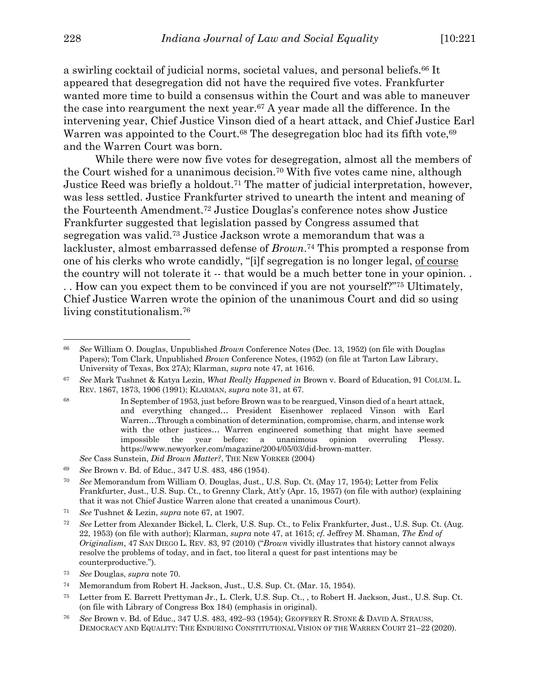a swirling cocktail of judicial norms, societal values, and personal beliefs.66 It appeared that desegregation did not have the required five votes. Frankfurter wanted more time to build a consensus within the Court and was able to maneuver the case into reargument the next year.67 A year made all the difference. In the intervening year, Chief Justice Vinson died of a heart attack, and Chief Justice Earl Warren was appointed to the Court.<sup>68</sup> The desegregation bloc had its fifth vote,<sup>69</sup> and the Warren Court was born.

While there were now five votes for desegregation, almost all the members of the Court wished for a unanimous decision.70 With five votes came nine, although Justice Reed was briefly a holdout.71 The matter of judicial interpretation, however, was less settled. Justice Frankfurter strived to unearth the intent and meaning of the Fourteenth Amendment.72 Justice Douglas's conference notes show Justice Frankfurter suggested that legislation passed by Congress assumed that segregation was valid.73 Justice Jackson wrote a memorandum that was a lackluster, almost embarrassed defense of *Brown*.74 This prompted a response from one of his clerks who wrote candidly, "[i]f segregation is no longer legal, of course the country will not tolerate it -- that would be a much better tone in your opinion. . . . How can you expect them to be convinced if you are not yourself?"75 Ultimately, Chief Justice Warren wrote the opinion of the unanimous Court and did so using living constitutionalism.76

<sup>66</sup> *See* William O. Douglas, Unpublished *Brown* Conference Notes (Dec. 13, 1952) (on file with Douglas Papers); Tom Clark, Unpublished *Brown* Conference Notes, (1952) (on file at Tarton Law Library, University of Texas, Box 27A); Klarman, *supra* note 47, at 1616.

<sup>67</sup> *See* Mark Tushnet & Katya Lezin, *What Really Happened in* Brown v. Board of Education, 91 COLUM. L. REV. 1867, 1873, 1906 (1991); KLARMAN, *supra* note 31, at 67.

<sup>68</sup> In September of 1953, just before Brown was to be reargued, Vinson died of a heart attack, and everything changed… President Eisenhower replaced Vinson with Earl Warren…Through a combination of determination, compromise, charm, and intense work with the other justices... Warren engineered something that might have seemed impossible the year before: a unanimous opinion overruling Plessy. https://www.newyorker.com/magazine/2004/05/03/did-brown-matter. *See* Cass Sunstein, *Did Brown Matter?*, THE NEW YORKER (2004)

<sup>69</sup> *See* Brown v. Bd. of Educ., 347 U.S. 483, 486 (1954).

<sup>70</sup> *See* Memorandum from William O. Douglas, Just., U.S. Sup. Ct. (May 17, 1954); Letter from Felix Frankfurter, Just., U.S. Sup. Ct., to Grenny Clark, Att'y (Apr. 15, 1957) (on file with author) (explaining that it was not Chief Justice Warren alone that created a unanimous Court).

<sup>71</sup> *See* Tushnet & Lezin, *supra* note 67, at 1907.

<sup>72</sup> *See* Letter from Alexander Bickel, L. Clerk, U.S. Sup. Ct., to Felix Frankfurter, Just., U.S. Sup. Ct. (Aug. 22, 1953) (on file with author); Klarman, *supra* note 47, at 1615; *cf.* Jeffrey M. Shaman, *The End of Originalism*, 47 SAN DIEGO L. REV. 83, 97 (2010) ("*Brown* vividly illustrates that history cannot always resolve the problems of today, and in fact, too literal a quest for past intentions may be counterproductive.").

<sup>73</sup> *See* Douglas, *supra* note 70.

<sup>74</sup> Memorandum from Robert H. Jackson, Just., U.S. Sup. Ct. (Mar. 15, 1954).

<sup>75</sup> Letter from E. Barrett Prettyman Jr., L. Clerk, U.S. Sup. Ct., , to Robert H. Jackson, Just., U.S. Sup. Ct. (on file with Library of Congress Box 184) (emphasis in original).

<sup>76</sup> *See* Brown v. Bd. of Educ., 347 U.S. 483, 492–93 (1954); GEOFFREY R. STONE & DAVID A. STRAUSS, DEMOCRACY AND EQUALITY: THE ENDURING CONSTITUTIONAL VISION OF THE WARREN COURT 21–22 (2020).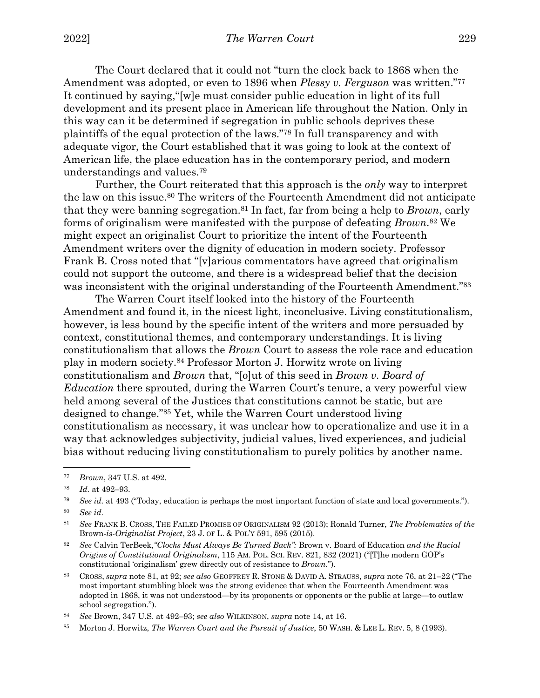The Court declared that it could not "turn the clock back to 1868 when the Amendment was adopted, or even to 1896 when *Plessy v. Ferguson* was written."77 It continued by saying,"[w]e must consider public education in light of its full development and its present place in American life throughout the Nation. Only in this way can it be determined if segregation in public schools deprives these plaintiffs of the equal protection of the laws."78 In full transparency and with adequate vigor, the Court established that it was going to look at the context of American life, the place education has in the contemporary period, and modern understandings and values.79

Further, the Court reiterated that this approach is the *only* way to interpret the law on this issue.80 The writers of the Fourteenth Amendment did not anticipate that they were banning segregation.81 In fact, far from being a help to *Brown*, early forms of originalism were manifested with the purpose of defeating *Brown*.82 We might expect an originalist Court to prioritize the intent of the Fourteenth Amendment writers over the dignity of education in modern society. Professor Frank B. Cross noted that "[v]arious commentators have agreed that originalism could not support the outcome, and there is a widespread belief that the decision was inconsistent with the original understanding of the Fourteenth Amendment."<sup>83</sup>

The Warren Court itself looked into the history of the Fourteenth Amendment and found it, in the nicest light, inconclusive. Living constitutionalism, however, is less bound by the specific intent of the writers and more persuaded by context, constitutional themes, and contemporary understandings. It is living constitutionalism that allows the *Brown* Court to assess the role race and education play in modern society.84 Professor Morton J. Horwitz wrote on living constitutionalism and *Brown* that, "[o]ut of this seed in *Brown v. Board of Education* there sprouted, during the Warren Court's tenure, a very powerful view held among several of the Justices that constitutions cannot be static, but are designed to change."85 Yet, while the Warren Court understood living constitutionalism as necessary, it was unclear how to operationalize and use it in a way that acknowledges subjectivity, judicial values, lived experiences, and judicial bias without reducing living constitutionalism to purely politics by another name.

<sup>77</sup> *Brown*, 347 U.S. at 492.

<sup>78</sup> *Id.* at 492–93.

<sup>79</sup> *See id.* at 493 ("Today, education is perhaps the most important function of state and local governments.").

<sup>80</sup> *See id.*

<sup>81</sup> *See* FRANK B. CROSS, THE FAILED PROMISE OF ORIGINALISM 92 (2013); Ronald Turner, *The Problematics of the*  Brown*-is-Originalist Project*, 23 J. OF L. & POL'Y 591, 595 (2015).

<sup>82</sup> *See* Calvin TerBeek,*"Clocks Must Always Be Turned Back":* Brown v. Board of Education *and the Racial Origins of Constitutional Originalism*, 115 AM. POL. SCI. REV. 821, 832 (2021) ("[T]he modern GOP's constitutional 'originalism' grew directly out of resistance to *Brown*.").

<sup>83</sup> CROSS, *supra* note 81, at 92; *see also* GEOFFREY R. STONE & DAVID A. STRAUSS, *supra* note 76, at 21–22 ("The most important stumbling block was the strong evidence that when the Fourteenth Amendment was adopted in 1868, it was not understood—by its proponents or opponents or the public at large—to outlaw school segregation.").

<sup>84</sup> *See* Brown, 347 U.S. at 492–93; *see also* WILKINSON, *supra* note 14, at 16.

<sup>85</sup> Morton J. Horwitz, *The Warren Court and the Pursuit of Justice*, 50 WASH. & LEE L. REV. 5, 8 (1993).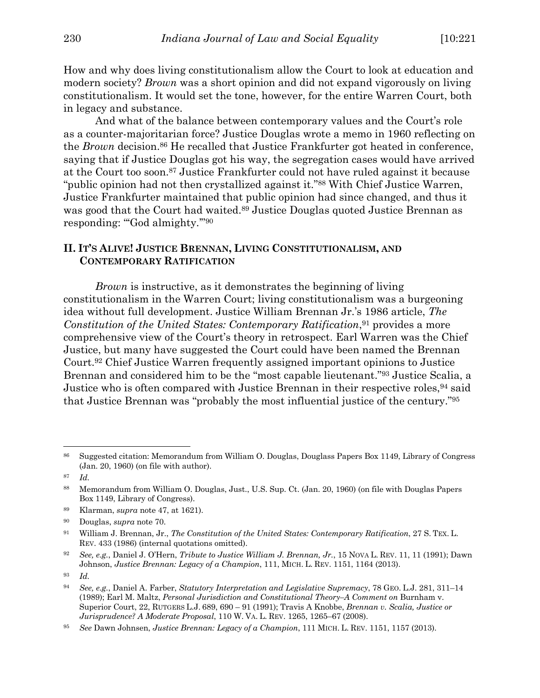How and why does living constitutionalism allow the Court to look at education and modern society? *Brown* was a short opinion and did not expand vigorously on living constitutionalism. It would set the tone, however, for the entire Warren Court, both in legacy and substance.

And what of the balance between contemporary values and the Court's role as a counter-majoritarian force? Justice Douglas wrote a memo in 1960 reflecting on the *Brown* decision.86 He recalled that Justice Frankfurter got heated in conference, saying that if Justice Douglas got his way, the segregation cases would have arrived at the Court too soon.87 Justice Frankfurter could not have ruled against it because "public opinion had not then crystallized against it."88 With Chief Justice Warren, Justice Frankfurter maintained that public opinion had since changed, and thus it was good that the Court had waited.89 Justice Douglas quoted Justice Brennan as responding: "God almighty."<sup>90</sup>

#### **II. IT'S ALIVE! JUSTICE BRENNAN, LIVING CONSTITUTIONALISM, AND CONTEMPORARY RATIFICATION**

*Brown* is instructive, as it demonstrates the beginning of living constitutionalism in the Warren Court; living constitutionalism was a burgeoning idea without full development. Justice William Brennan Jr.'s 1986 article, *The Constitution of the United States: Contemporary Ratification*,<sup>91</sup> provides a more comprehensive view of the Court's theory in retrospect. Earl Warren was the Chief Justice, but many have suggested the Court could have been named the Brennan Court.92 Chief Justice Warren frequently assigned important opinions to Justice Brennan and considered him to be the "most capable lieutenant."93 Justice Scalia, a Justice who is often compared with Justice Brennan in their respective roles, <sup>94</sup> said that Justice Brennan was "probably the most influential justice of the century."95

<sup>86</sup> Suggested citation: Memorandum from William O. Douglas, Douglass Papers Box 1149, Library of Congress (Jan. 20, 1960) (on file with author).

<sup>87</sup> *Id.*

<sup>88</sup> Memorandum from William O. Douglas, Just., U.S. Sup. Ct. (Jan. 20, 1960) (on file with Douglas Papers Box 1149, Library of Congress).

<sup>89</sup> Klarman, *supra* note 47, at 1621).

<sup>90</sup> Douglas, *supra* note 70.

<sup>91</sup> William J. Brennan, Jr., *The Constitution of the United States: Contemporary Ratification*, 27 S. TEX. L. REV. 433 (1986) (internal quotations omitted).

<sup>92</sup> *See, e.g.*, Daniel J. O'Hern, *Tribute to Justice William J. Brennan, Jr.*, 15 NOVA L. REV. 11, 11 (1991); Dawn Johnson, *Justice Brennan: Legacy of a Champion*, 111, MICH. L. REV. 1151, 1164 (2013).

<sup>93</sup> *Id.*

<sup>94</sup> *See, e.g.*, Daniel A. Farber, *Statutory Interpretation and Legislative Supremacy*, 78 GEO. L.J. 281, 311–14 (1989); Earl M. Maltz, *Personal Jurisdiction and Constitutional Theory–A Comment on* Burnham v. Superior Court, 22, RUTGERS L.J. 689, 690 – 91 (1991); Travis A Knobbe, *Brennan v. Scalia, Justice or Jurisprudence? A Moderate Proposal*, 110 W. VA. L. REV. 1265, 1265–67 (2008).

<sup>95</sup> *See* Dawn Johnsen, *Justice Brennan: Legacy of a Champion*, 111 MICH. L. REV. 1151, 1157 (2013).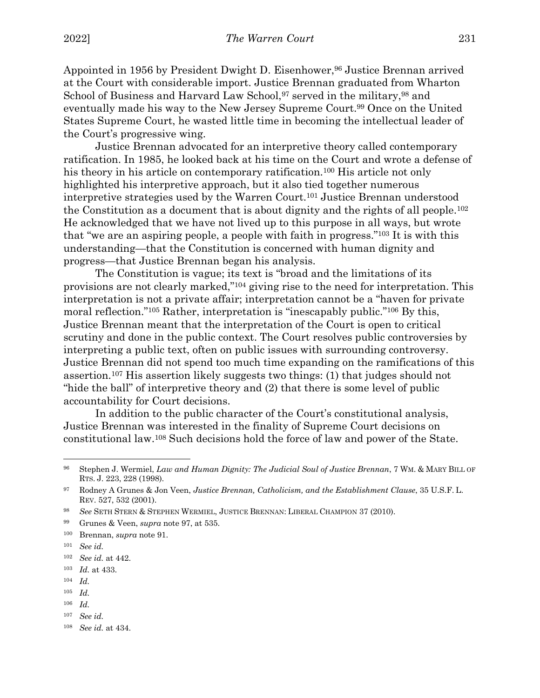Appointed in 1956 by President Dwight D. Eisenhower, <sup>96</sup> Justice Brennan arrived at the Court with considerable import. Justice Brennan graduated from Wharton School of Business and Harvard Law School, <sup>97</sup> served in the military, <sup>98</sup> and eventually made his way to the New Jersey Supreme Court.99 Once on the United States Supreme Court, he wasted little time in becoming the intellectual leader of the Court's progressive wing.

Justice Brennan advocated for an interpretive theory called contemporary ratification. In 1985, he looked back at his time on the Court and wrote a defense of his theory in his article on contemporary ratification.<sup>100</sup> His article not only highlighted his interpretive approach, but it also tied together numerous interpretive strategies used by the Warren Court.101 Justice Brennan understood the Constitution as a document that is about dignity and the rights of all people.102 He acknowledged that we have not lived up to this purpose in all ways, but wrote that "we are an aspiring people, a people with faith in progress."103 It is with this understanding—that the Constitution is concerned with human dignity and progress—that Justice Brennan began his analysis.

The Constitution is vague; its text is "broad and the limitations of its provisions are not clearly marked,"104 giving rise to the need for interpretation. This interpretation is not a private affair; interpretation cannot be a "haven for private moral reflection."105 Rather, interpretation is "inescapably public."106 By this, Justice Brennan meant that the interpretation of the Court is open to critical scrutiny and done in the public context. The Court resolves public controversies by interpreting a public text, often on public issues with surrounding controversy. Justice Brennan did not spend too much time expanding on the ramifications of this assertion.107 His assertion likely suggests two things: (1) that judges should not "hide the ball" of interpretive theory and (2) that there is some level of public accountability for Court decisions.

In addition to the public character of the Court's constitutional analysis, Justice Brennan was interested in the finality of Supreme Court decisions on constitutional law.108 Such decisions hold the force of law and power of the State.

<sup>100</sup> Brennan, *supra* note 91.

- <sup>102</sup> *See id.* at 442.
- <sup>103</sup> *Id.* at 433.
- <sup>104</sup> *Id.*
- <sup>105</sup> *Id.*
- <sup>106</sup> *Id.*
- <sup>107</sup> *See id.*

<sup>96</sup> Stephen J. Wermiel, *Law and Human Dignity: The Judicial Soul of Justice Brennan*, 7 WM. & MARY BILL OF RTS. J. 223, 228 (1998).

<sup>97</sup> Rodney A Grunes & Jon Veen, *Justice Brennan, Catholicism, and the Establishment Clause*, 35 U.S.F. L. REV. 527, 532 (2001).

<sup>98</sup> *See* SETH STERN & STEPHEN WERMIEL, JUSTICE BRENNAN: LIBERAL CHAMPION 37 (2010).

<sup>99</sup> Grunes & Veen, *supra* note 97, at 535.

<sup>101</sup> *See id.*

<sup>108</sup> *See id.* at 434.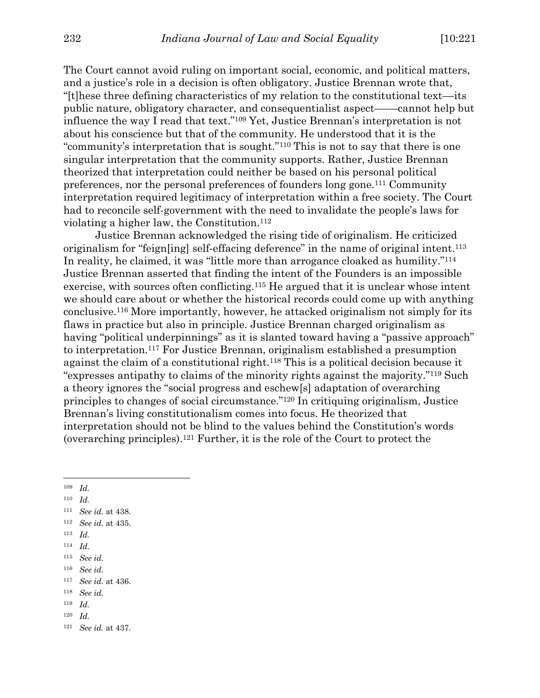The Court cannot avoid ruling on important social, economic, and political matters, and a justice's role in a decision is often obligatory. Justice Brennan wrote that, "[t]hese three defining characteristics of my relation to the constitutional text––its public nature, obligatory character, and consequentialist aspect––––cannot help but influence the way I read that text."109 Yet, Justice Brennan's interpretation is not about his conscience but that of the community. He understood that it is the "community's interpretation that is sought."110 This is not to say that there is one singular interpretation that the community supports. Rather, Justice Brennan theorized that interpretation could neither be based on his personal political preferences, nor the personal preferences of founders long gone.111 Community interpretation required legitimacy of interpretation within a free society. The Court had to reconcile self-government with the need to invalidate the people's laws for violating a higher law, the Constitution.112

Justice Brennan acknowledged the rising tide of originalism. He criticized originalism for "feign[ing] self-effacing deference" in the name of original intent.<sup>113</sup> In reality, he claimed, it was "little more than arrogance cloaked as humility."114 Justice Brennan asserted that finding the intent of the Founders is an impossible exercise, with sources often conflicting.115 He argued that it is unclear whose intent we should care about or whether the historical records could come up with anything conclusive.116 More importantly, however, he attacked originalism not simply for its flaws in practice but also in principle. Justice Brennan charged originalism as having "political underpinnings" as it is slanted toward having a "passive approach" to interpretation.117 For Justice Brennan, originalism established a presumption against the claim of a constitutional right.118 This is a political decision because it "expresses antipathy to claims of the minority rights against the majority."119 Such a theory ignores the "social progress and eschew[s] adaptation of overarching principles to changes of social circumstance."120 In critiquing originalism, Justice Brennan's living constitutionalism comes into focus. He theorized that interpretation should not be blind to the values behind the Constitution's words (overarching principles).121 Further, it is the role of the Court to protect the

<sup>109</sup> *Id.*

- <sup>110</sup> *Id.*
- <sup>111</sup> *See id.* at 438.
- <sup>112</sup> *See id.* at 435.
- <sup>113</sup> *Id.*
- <sup>114</sup> *Id.*
- <sup>115</sup> *See id.*
- <sup>116</sup> *See id.*
- <sup>117</sup> *See id.* at 436.
- <sup>118</sup> *See id.*
- <sup>119</sup> *Id.*
- <sup>120</sup> *Id.*

<sup>121</sup> *See id.* at 437.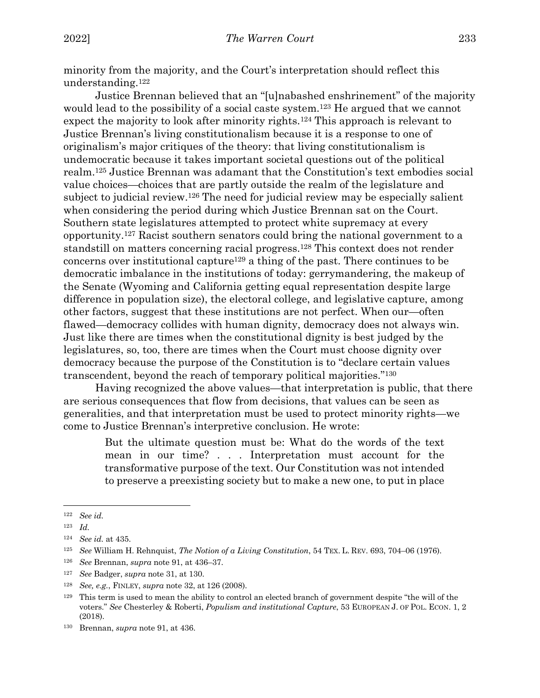minority from the majority, and the Court's interpretation should reflect this understanding.122

Justice Brennan believed that an "[u]nabashed enshrinement" of the majority would lead to the possibility of a social caste system.<sup>123</sup> He argued that we cannot expect the majority to look after minority rights.124 This approach is relevant to Justice Brennan's living constitutionalism because it is a response to one of originalism's major critiques of the theory: that living constitutionalism is undemocratic because it takes important societal questions out of the political realm.125 Justice Brennan was adamant that the Constitution's text embodies social value choices—choices that are partly outside the realm of the legislature and subject to judicial review.126 The need for judicial review may be especially salient when considering the period during which Justice Brennan sat on the Court. Southern state legislatures attempted to protect white supremacy at every opportunity.127 Racist southern senators could bring the national government to a standstill on matters concerning racial progress.128 This context does not render concerns over institutional capture<sup>129</sup> a thing of the past. There continues to be democratic imbalance in the institutions of today: gerrymandering, the makeup of the Senate (Wyoming and California getting equal representation despite large difference in population size), the electoral college, and legislative capture, among other factors, suggest that these institutions are not perfect. When our—often flawed—democracy collides with human dignity, democracy does not always win. Just like there are times when the constitutional dignity is best judged by the legislatures, so, too, there are times when the Court must choose dignity over democracy because the purpose of the Constitution is to "declare certain values transcendent, beyond the reach of temporary political majorities."130

Having recognized the above values—that interpretation is public, that there are serious consequences that flow from decisions, that values can be seen as generalities, and that interpretation must be used to protect minority rights—we come to Justice Brennan's interpretive conclusion. He wrote:

> But the ultimate question must be: What do the words of the text mean in our time? . . . Interpretation must account for the transformative purpose of the text. Our Constitution was not intended to preserve a preexisting society but to make a new one, to put in place

<sup>122</sup> *See id.*

<sup>123</sup> *Id.*

<sup>124</sup> *See id.* at 435.

<sup>125</sup> *See* William H. Rehnquist, *The Notion of a Living Constitution*, 54 TEX. L. REV. 693, 704–06 (1976).

<sup>126</sup> *See* Brennan, *supra* note 91, at 436–37.

<sup>127</sup> *See* Badger, *supra* note 31, at 130.

<sup>128</sup> *See, e.g.*, FINLEY, *supra* note 32, at 126 (2008).

<sup>129</sup> This term is used to mean the ability to control an elected branch of government despite "the will of the voters." *See* Chesterley & Roberti, *Populism and institutional Capture*, 53 EUROPEAN J. OF POL. ECON. 1, 2 (2018).

<sup>130</sup> Brennan, *supra* note 91, at 436.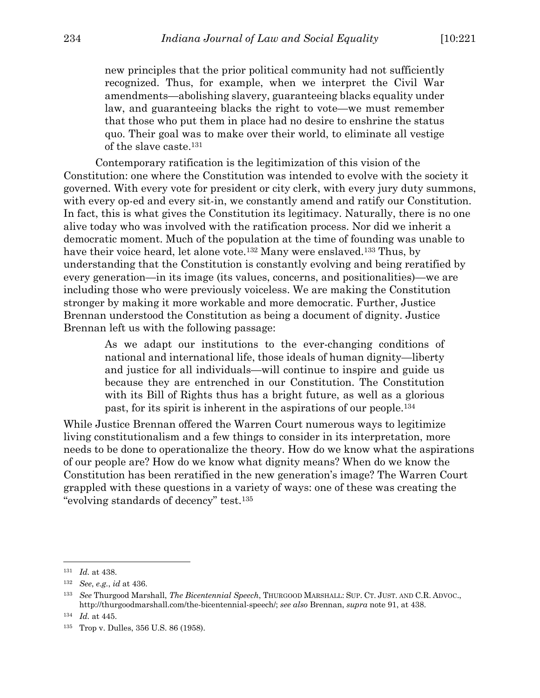new principles that the prior political community had not sufficiently recognized. Thus, for example, when we interpret the Civil War amendments—abolishing slavery, guaranteeing blacks equality under law, and guaranteeing blacks the right to vote—we must remember that those who put them in place had no desire to enshrine the status quo. Their goal was to make over their world, to eliminate all vestige of the slave caste.131

Contemporary ratification is the legitimization of this vision of the Constitution: one where the Constitution was intended to evolve with the society it governed. With every vote for president or city clerk, with every jury duty summons, with every op-ed and every sit-in, we constantly amend and ratify our Constitution. In fact, this is what gives the Constitution its legitimacy. Naturally, there is no one alive today who was involved with the ratification process. Nor did we inherit a democratic moment. Much of the population at the time of founding was unable to have their voice heard, let alone vote.<sup>132</sup> Many were enslaved.<sup>133</sup> Thus, by understanding that the Constitution is constantly evolving and being reratified by every generation—in its image (its values, concerns, and positionalities)—we are including those who were previously voiceless. We are making the Constitution stronger by making it more workable and more democratic. Further, Justice Brennan understood the Constitution as being a document of dignity. Justice Brennan left us with the following passage:

As we adapt our institutions to the ever-changing conditions of national and international life, those ideals of human dignity—liberty and justice for all individuals—will continue to inspire and guide us because they are entrenched in our Constitution. The Constitution with its Bill of Rights thus has a bright future, as well as a glorious past, for its spirit is inherent in the aspirations of our people.134

While Justice Brennan offered the Warren Court numerous ways to legitimize living constitutionalism and a few things to consider in its interpretation, more needs to be done to operationalize the theory. How do we know what the aspirations of our people are? How do we know what dignity means? When do we know the Constitution has been reratified in the new generation's image? The Warren Court grappled with these questions in a variety of ways: one of these was creating the "evolving standards of decency" test.135

<sup>131</sup> *Id.* at 438.

<sup>132</sup> *See*, *e.g.*, *id* at 436.

<sup>133</sup> *See* Thurgood Marshall, *The Bicentennial Speech*, THURGOOD MARSHALL: SUP. CT. JUST. AND C.R. ADVOC., http://thurgoodmarshall.com/the-bicentennial-speech/; *see also* Brennan, *supra* note 91, at 438.

<sup>134</sup> *Id.* at 445.

<sup>135</sup> Trop v. Dulles, 356 U.S. 86 (1958).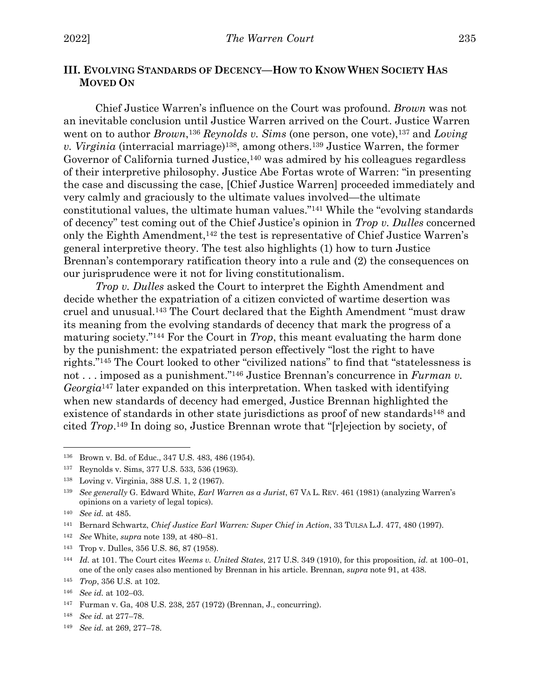# **III. EVOLVING STANDARDS OF DECENCY—HOW TO KNOW WHEN SOCIETY HAS MOVED ON**

Chief Justice Warren's influence on the Court was profound. *Brown* was not an inevitable conclusion until Justice Warren arrived on the Court. Justice Warren went on to author *Brown*,<sup>136</sup> *Reynolds v. Sims* (one person, one vote),<sup>137</sup> and *Loving v. Virginia* (interracial marriage)138, among others.139 Justice Warren, the former Governor of California turned Justice,<sup>140</sup> was admired by his colleagues regardless of their interpretive philosophy. Justice Abe Fortas wrote of Warren: "in presenting the case and discussing the case, [Chief Justice Warren] proceeded immediately and very calmly and graciously to the ultimate values involved—the ultimate constitutional values, the ultimate human values."141 While the "evolving standards of decency" test coming out of the Chief Justice's opinion in *Trop v. Dulles* concerned only the Eighth Amendment,142 the test is representative of Chief Justice Warren's general interpretive theory. The test also highlights (1) how to turn Justice Brennan's contemporary ratification theory into a rule and (2) the consequences on our jurisprudence were it not for living constitutionalism.

*Trop v. Dulles* asked the Court to interpret the Eighth Amendment and decide whether the expatriation of a citizen convicted of wartime desertion was cruel and unusual.143 The Court declared that the Eighth Amendment "must draw its meaning from the evolving standards of decency that mark the progress of a maturing society."144 For the Court in *Trop*, this meant evaluating the harm done by the punishment: the expatriated person effectively "lost the right to have rights."145 The Court looked to other "civilized nations" to find that "statelessness is not . . . imposed as a punishment."146 Justice Brennan's concurrence in *Furman v. Georgia*<sup>147</sup> later expanded on this interpretation. When tasked with identifying when new standards of decency had emerged, Justice Brennan highlighted the existence of standards in other state jurisdictions as proof of new standards<sup>148</sup> and cited *Trop*.149 In doing so, Justice Brennan wrote that "[r]ejection by society, of

<sup>142</sup> *See* White, *supra* note 139, at 480–81.

<sup>136</sup> Brown v. Bd. of Educ., 347 U.S. 483, 486 (1954).

<sup>137</sup> Reynolds v. Sims, 377 U.S. 533, 536 (1963).

<sup>138</sup> Loving v. Virginia, 388 U.S. 1, 2 (1967).

<sup>139</sup> *See generally* G. Edward White, *Earl Warren as a Jurist*, 67 VA L. REV. 461 (1981) (analyzing Warren's opinions on a variety of legal topics).

<sup>140</sup> *See id.* at 485.

<sup>141</sup> Bernard Schwartz, *Chief Justice Earl Warren: Super Chief in Action*, 33 TULSA L.J. 477, 480 (1997).

<sup>143</sup> Trop v. Dulles, 356 U.S. 86, 87 (1958).

<sup>144</sup> *Id.* at 101. The Court cites *Weems v. United States*, 217 U.S. 349 (1910), for this proposition, *id.* at 100–01, one of the only cases also mentioned by Brennan in his article. Brennan, *supra* note 91, at 438.

<sup>145</sup> *Trop*, 356 U.S. at 102.

<sup>146</sup> *See id.* at 102–03.

<sup>147</sup> Furman v. Ga, 408 U.S. 238, 257 (1972) (Brennan, J., concurring).

<sup>148</sup> *See id.* at 277–78.

<sup>149</sup> *See id.* at 269, 277–78.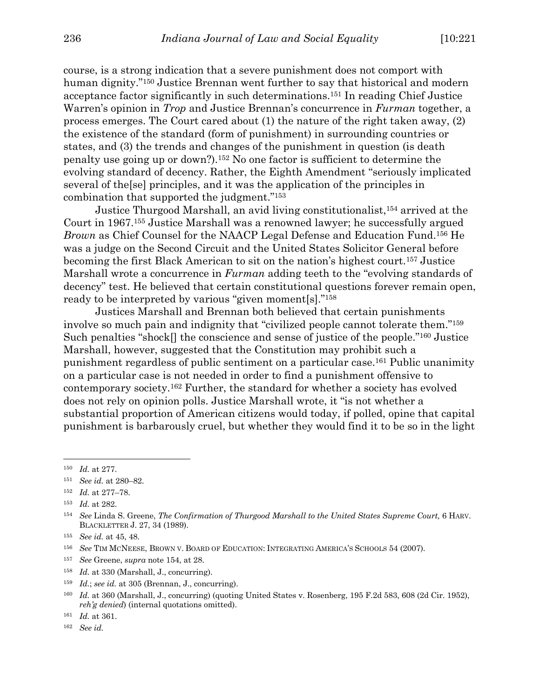course, is a strong indication that a severe punishment does not comport with human dignity."150 Justice Brennan went further to say that historical and modern acceptance factor significantly in such determinations.151 In reading Chief Justice Warren's opinion in *Trop* and Justice Brennan's concurrence in *Furman* together, a process emerges. The Court cared about (1) the nature of the right taken away, (2) the existence of the standard (form of punishment) in surrounding countries or states, and (3) the trends and changes of the punishment in question (is death penalty use going up or down?).152 No one factor is sufficient to determine the evolving standard of decency. Rather, the Eighth Amendment "seriously implicated several of the[se] principles, and it was the application of the principles in combination that supported the judgment."153

Justice Thurgood Marshall, an avid living constitutionalist,154 arrived at the Court in 1967.155 Justice Marshall was a renowned lawyer; he successfully argued *Brown* as Chief Counsel for the NAACP Legal Defense and Education Fund.156 He was a judge on the Second Circuit and the United States Solicitor General before becoming the first Black American to sit on the nation's highest court.157 Justice Marshall wrote a concurrence in *Furman* adding teeth to the "evolving standards of decency" test. He believed that certain constitutional questions forever remain open, ready to be interpreted by various "given moment[s]."158

Justices Marshall and Brennan both believed that certain punishments involve so much pain and indignity that "civilized people cannot tolerate them."159 Such penalties "shock[] the conscience and sense of justice of the people."160 Justice Marshall, however, suggested that the Constitution may prohibit such a punishment regardless of public sentiment on a particular case.161 Public unanimity on a particular case is not needed in order to find a punishment offensive to contemporary society.162 Further, the standard for whether a society has evolved does not rely on opinion polls. Justice Marshall wrote, it "is not whether a substantial proportion of American citizens would today, if polled, opine that capital punishment is barbarously cruel, but whether they would find it to be so in the light

- <sup>157</sup> *See* Greene, *supra* note 154, at 28.
- <sup>158</sup> *Id.* at 330 (Marshall, J., concurring).
- <sup>159</sup> *Id.*; *see id.* at 305 (Brennan, J., concurring).

<sup>150</sup> *Id.* at 277.

<sup>151</sup> *See id.* at 280–82.

<sup>152</sup> *Id.* at 277–78.

<sup>153</sup> *Id.* at 282.

<sup>154</sup> *See* Linda S. Greene, *The Confirmation of Thurgood Marshall to the United States Supreme Court,* 6 HARV. BLACKLETTER J. 27, 34 (1989).

<sup>155</sup> *See id.* at 45, 48.

<sup>156</sup> *See* TIM MCNEESE, BROWN V. BOARD OF EDUCATION: INTEGRATING AMERICA'S SCHOOLS 54 (2007).

<sup>160</sup> *Id.* at 360 (Marshall, J., concurring) (quoting United States v. Rosenberg, 195 F.2d 583, 608 (2d Cir. 1952), *reh'g denied*) (internal quotations omitted).

<sup>161</sup> *Id.* at 361.

<sup>162</sup> *See id.*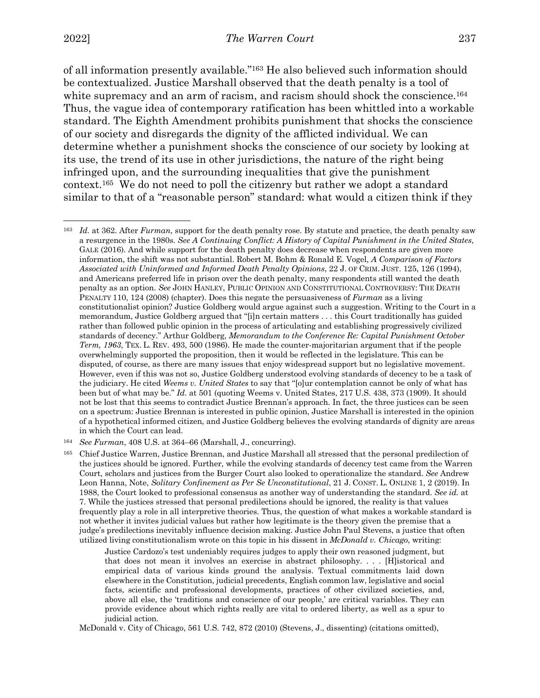2022] *The Warren Court* 237

of all information presently available."163 He also believed such information should be contextualized. Justice Marshall observed that the death penalty is a tool of white supremacy and an arm of racism, and racism should shock the conscience.<sup>164</sup> Thus, the vague idea of contemporary ratification has been whittled into a workable standard. The Eighth Amendment prohibits punishment that shocks the conscience of our society and disregards the dignity of the afflicted individual. We can determine whether a punishment shocks the conscience of our society by looking at its use, the trend of its use in other jurisdictions, the nature of the right being infringed upon, and the surrounding inequalities that give the punishment context.165 We do not need to poll the citizenry but rather we adopt a standard similar to that of a "reasonable person" standard: what would a citizen think if they

<sup>163</sup> *Id.* at 362. After *Furman*, support for the death penalty rose. By statute and practice, the death penalty saw a resurgence in the 1980s. *See A Continuing Conflict: A History of Capital Punishment in the United States*, GALE (2016). And while support for the death penalty does decrease when respondents are given more information, the shift was not substantial. Robert M. Bohm & Ronald E. Vogel, *A Comparison of Factors Associated with Uninformed and Informed Death Penalty Opinions*, 22 J. OF CRIM. JUST. 125, 126 (1994), and Americans preferred life in prison over the death penalty, many respondents still wanted the death penalty as an option. *See* JOHN HANLEY, PUBLIC OPINION AND CONSTITUTIONAL CONTROVERSY: THE DEATH PENALTY 110, 124 (2008) (chapter). Does this negate the persuasiveness of *Furman* as a living constitutionalist opinion? Justice Goldberg would argue against such a suggestion. Writing to the Court in a memorandum, Justice Goldberg argued that "[i]n certain matters . . . this Court traditionally has guided rather than followed public opinion in the process of articulating and establishing progressively civilized standards of decency." Arthur Goldberg, *Memorandum to the Conference Re: Capital Punishment October Term, 1963*, TEX. L. REV. 493, 500 (1986). He made the counter-majoritarian argument that if the people overwhelmingly supported the proposition, then it would be reflected in the legislature. This can be disputed, of course, as there are many issues that enjoy widespread support but no legislative movement. However, even if this was not so, Justice Goldberg understood evolving standards of decency to be a task of the judiciary. He cited *Weems v. United States* to say that "[o]ur contemplation cannot be only of what has been but of what may be." *Id.* at 501 (quoting Weems v. United States, 217 U.S. 438, 373 (1909). It should not be lost that this seems to contradict Justice Brennan's approach. In fact, the three justices can be seen on a spectrum: Justice Brennan is interested in public opinion, Justice Marshall is interested in the opinion of a hypothetical informed citizen, and Justice Goldberg believes the evolving standards of dignity are areas in which the Court can lead.

<sup>164</sup> *See Furman*, 408 U.S. at 364–66 (Marshall, J., concurring).

<sup>165</sup> Chief Justice Warren, Justice Brennan, and Justice Marshall all stressed that the personal predilection of the justices should be ignored. Further, while the evolving standards of decency test came from the Warren Court, scholars and justices from the Burger Court also looked to operationalize the standard. *See* Andrew Leon Hanna, Note, *Solitary Confinement as Per Se Unconstitutional*, 21 J. CONST. L. ONLINE 1, 2 (2019). In 1988, the Court looked to professional consensus as another way of understanding the standard. *See id.* at 7. While the justices stressed that personal predilections should be ignored, the reality is that values frequently play a role in all interpretive theories. Thus, the question of what makes a workable standard is not whether it invites judicial values but rather how legitimate is the theory given the premise that a judge's predilections inevitably influence decision making. Justice John Paul Stevens, a justice that often utilized living constitutionalism wrote on this topic in his dissent in *McDonald v. Chicago*, writing:

Justice Cardozo's test undeniably requires judges to apply their own reasoned judgment, but that does not mean it involves an exercise in abstract philosophy. . . . [H]istorical and empirical data of various kinds ground the analysis. Textual commitments laid down elsewhere in the Constitution, judicial precedents, English common law, legislative and social facts, scientific and professional developments, practices of other civilized societies, and, above all else, the 'traditions and conscience of our people,' are critical variables. They can provide evidence about which rights really are vital to ordered liberty, as well as a spur to judicial action.

McDonald v. City of Chicago, 561 U.S. 742, 872 (2010) (Stevens, J., dissenting) (citations omitted),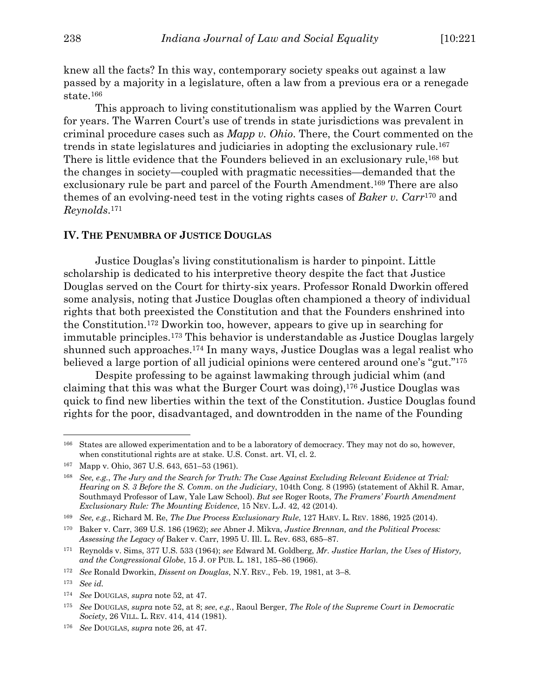knew all the facts? In this way, contemporary society speaks out against a law passed by a majority in a legislature, often a law from a previous era or a renegade state.166

This approach to living constitutionalism was applied by the Warren Court for years. The Warren Court's use of trends in state jurisdictions was prevalent in criminal procedure cases such as *Mapp v. Ohio*. There, the Court commented on the trends in state legislatures and judiciaries in adopting the exclusionary rule.167 There is little evidence that the Founders believed in an exclusionary rule,<sup>168</sup> but the changes in society—coupled with pragmatic necessities—demanded that the exclusionary rule be part and parcel of the Fourth Amendment.169 There are also themes of an evolving-need test in the voting rights cases of *Baker v. Carr*<sup>170</sup> and *Reynolds*.171

#### **IV. THE PENUMBRA OF JUSTICE DOUGLAS**

Justice Douglas's living constitutionalism is harder to pinpoint. Little scholarship is dedicated to his interpretive theory despite the fact that Justice Douglas served on the Court for thirty-six years. Professor Ronald Dworkin offered some analysis, noting that Justice Douglas often championed a theory of individual rights that both preexisted the Constitution and that the Founders enshrined into the Constitution.172 Dworkin too, however, appears to give up in searching for immutable principles.173 This behavior is understandable as Justice Douglas largely shunned such approaches.174 In many ways, Justice Douglas was a legal realist who believed a large portion of all judicial opinions were centered around one's "gut."175

Despite professing to be against lawmaking through judicial whim (and claiming that this was what the Burger Court was doing),176 Justice Douglas was quick to find new liberties within the text of the Constitution. Justice Douglas found rights for the poor, disadvantaged, and downtrodden in the name of the Founding

<sup>176</sup> *See* DOUGLAS, *supra* note 26, at 47.

<sup>166</sup> States are allowed experimentation and to be a laboratory of democracy. They may not do so, however, when constitutional rights are at stake. U.S. Const. art. VI, cl. 2.

<sup>167</sup> Mapp v. Ohio, 367 U.S. 643, 651–53 (1961).

<sup>168</sup> *See, e.g.*, *The Jury and the Search for Truth: The Case Against Excluding Relevant Evidence at Trial: Hearing on S. 3 Before the S. Comm. on the Judiciary*, 104th Cong. 8 (1995) (statement of Akhil R. Amar, Southmayd Professor of Law, Yale Law School). *But see* Roger Roots, *The Framers' Fourth Amendment Exclusionary Rule: The Mounting Evidence*, 15 NEV. L.J. 42, 42 (2014).

<sup>169</sup> *See, e.g.*, Richard M. Re, *The Due Process Exclusionary Rule*, 127 HARV. L. REV. 1886, 1925 (2014).

<sup>170</sup> Baker v. Carr, 369 U.S. 186 (1962); *see* Abner J. Mikva, *Justice Brennan, and the Political Process: Assessing the Legacy of* Baker v. Carr, 1995 U. Ill. L. Rev. 683, 685–87.

<sup>171</sup> Reynolds v. Sims, 377 U.S. 533 (1964); *see* Edward M. Goldberg, *Mr. Justice Harlan, the Uses of History, and the Congressional Globe*, 15 J. OF PUB. L. 181, 185–86 (1966).

<sup>172</sup> *See* Ronald Dworkin, *Dissent on Douglas*, N.Y. REV., Feb. 19, 1981, at 3–8.

<sup>173</sup> *See id.*

<sup>174</sup> *See* DOUGLAS, *supra* note 52, at 47.

<sup>175</sup> *See* DOUGLAS, *supra* note 52, at 8; *see*, *e.g.*, Raoul Berger, *The Role of the Supreme Court in Democratic Society*, 26 VILL. L. REV. 414, 414 (1981).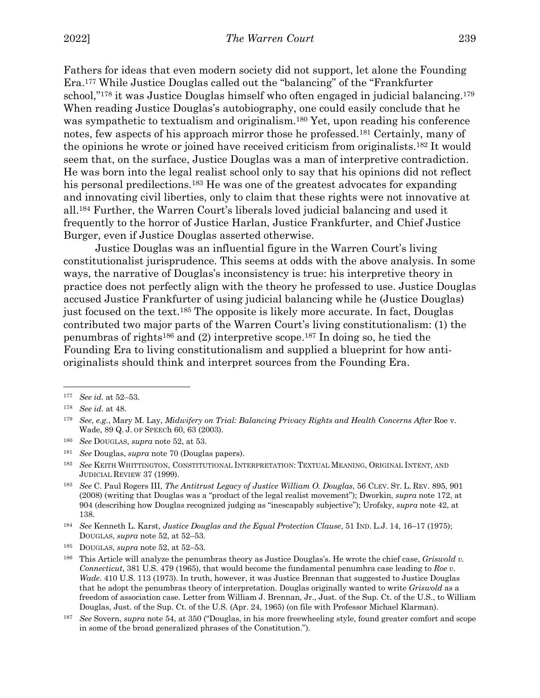Fathers for ideas that even modern society did not support, let alone the Founding Era.177 While Justice Douglas called out the "balancing" of the "Frankfurter school,"178 it was Justice Douglas himself who often engaged in judicial balancing.179 When reading Justice Douglas's autobiography, one could easily conclude that he was sympathetic to textualism and originalism.180 Yet, upon reading his conference notes, few aspects of his approach mirror those he professed.181 Certainly, many of the opinions he wrote or joined have received criticism from originalists.182 It would seem that, on the surface, Justice Douglas was a man of interpretive contradiction. He was born into the legal realist school only to say that his opinions did not reflect his personal predilections.<sup>183</sup> He was one of the greatest advocates for expanding and innovating civil liberties, only to claim that these rights were not innovative at all.184 Further, the Warren Court's liberals loved judicial balancing and used it frequently to the horror of Justice Harlan, Justice Frankfurter, and Chief Justice Burger, even if Justice Douglas asserted otherwise.

Justice Douglas was an influential figure in the Warren Court's living constitutionalist jurisprudence. This seems at odds with the above analysis. In some ways, the narrative of Douglas's inconsistency is true: his interpretive theory in practice does not perfectly align with the theory he professed to use. Justice Douglas accused Justice Frankfurter of using judicial balancing while he (Justice Douglas) just focused on the text.185 The opposite is likely more accurate. In fact, Douglas contributed two major parts of the Warren Court's living constitutionalism: (1) the penumbras of rights186 and (2) interpretive scope.187 In doing so, he tied the Founding Era to living constitutionalism and supplied a blueprint for how antioriginalists should think and interpret sources from the Founding Era.

<sup>181</sup> *See* Douglas, *supra* note 70 (Douglas papers).

<sup>177</sup> *See id.* at 52–53.

<sup>178</sup> *See id.* at 48.

<sup>179</sup> *See*, *e.g.*, Mary M. Lay, *Midwifery on Trial: Balancing Privacy Rights and Health Concerns After* Roe v. Wade, 89 Q. J. OF SPEECh 60, 63 (2003).

<sup>180</sup> *See* DOUGLAS, *supra* note 52, at 53.

<sup>182</sup> *See* KEITH WHITTINGTON, CONSTITUTIONAL INTERPRETATION: TEXTUAL MEANING, ORIGINAL INTENT, AND JUDICIAL REVIEW 37 (1999).

<sup>183</sup> *See* C. Paul Rogers III, *The Antitrust Legacy of Justice William O. Douglas*, 56 CLEV. ST. L. REV. 895, 901 (2008) (writing that Douglas was a "product of the legal realist movement"); Dworkin, *supra* note 172, at 904 (describing how Douglas recognized judging as "inescapably subjective"); Urofsky, *supra* note 42, at 138.

<sup>184</sup> *See* Kenneth L. Karst, *Justice Douglas and the Equal Protection Clause*, 51 IND. L.J. 14, 16–17 (1975); DOUGLAS, *supra* note 52, at 52–53.

<sup>185</sup> DOUGLAS, *supra* note 52, at 52–53.

<sup>186</sup> This Article will analyze the penumbras theory as Justice Douglas's. He wrote the chief case, *Griswold v. Connecticut*, 381 U.S. 479 (1965), that would become the fundamental penumbra case leading to *Roe v. Wade*. 410 U.S. 113 (1973). In truth, however, it was Justice Brennan that suggested to Justice Douglas that he adopt the penumbras theory of interpretation. Douglas originally wanted to write *Griswold* as a freedom of association case. Letter from William J. Brennan, Jr., Just. of the Sup. Ct. of the U.S., to William Douglas, Just. of the Sup. Ct. of the U.S. (Apr. 24, 1965) (on file with Professor Michael Klarman).

<sup>187</sup> *See* Sovern, *supra* note 54, at 350 ("Douglas, in his more freewheeling style, found greater comfort and scope in some of the broad generalized phrases of the Constitution.").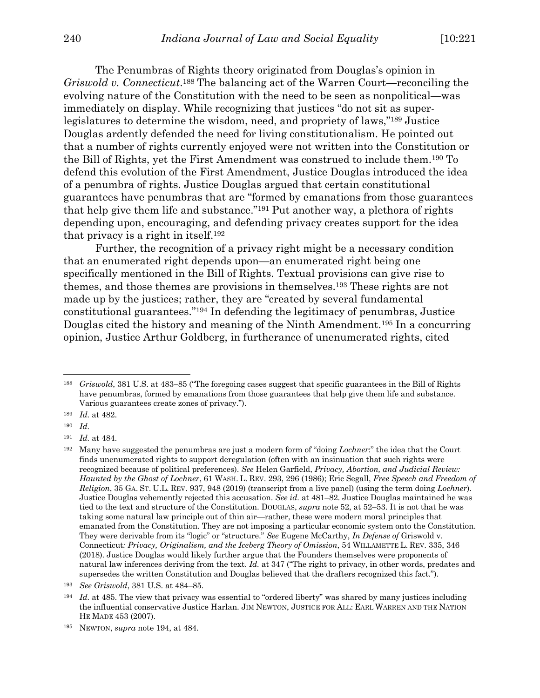The Penumbras of Rights theory originated from Douglas's opinion in *Griswold v. Connecticut*.188 The balancing act of the Warren Court—reconciling the evolving nature of the Constitution with the need to be seen as nonpolitical—was immediately on display. While recognizing that justices "do not sit as superlegislatures to determine the wisdom, need, and propriety of laws,"189 Justice Douglas ardently defended the need for living constitutionalism. He pointed out that a number of rights currently enjoyed were not written into the Constitution or the Bill of Rights, yet the First Amendment was construed to include them.190 To defend this evolution of the First Amendment, Justice Douglas introduced the idea of a penumbra of rights. Justice Douglas argued that certain constitutional guarantees have penumbras that are "formed by emanations from those guarantees that help give them life and substance."191 Put another way, a plethora of rights depending upon, encouraging, and defending privacy creates support for the idea that privacy is a right in itself.192

Further, the recognition of a privacy right might be a necessary condition that an enumerated right depends upon—an enumerated right being one specifically mentioned in the Bill of Rights. Textual provisions can give rise to themes, and those themes are provisions in themselves.193 These rights are not made up by the justices; rather, they are "created by several fundamental constitutional guarantees."194 In defending the legitimacy of penumbras, Justice Douglas cited the history and meaning of the Ninth Amendment.195 In a concurring opinion, Justice Arthur Goldberg, in furtherance of unenumerated rights, cited

<sup>193</sup> *See Griswold*, 381 U.S. at 484–85.

<sup>188</sup> *Griswold*, 381 U.S. at 483–85 ("The foregoing cases suggest that specific guarantees in the Bill of Rights have penumbras, formed by emanations from those guarantees that help give them life and substance. Various guarantees create zones of privacy.").

<sup>189</sup> *Id.* at 482.

<sup>190</sup> *Id.*

<sup>191</sup> *Id.* at 484.

<sup>192</sup> Many have suggested the penumbras are just a modern form of "doing *Lochner*:" the idea that the Court finds unenumerated rights to support deregulation (often with an insinuation that such rights were recognized because of political preferences). *See* Helen Garfield, *Privacy, Abortion, and Judicial Review: Haunted by the Ghost of Lochner*, 61 WASH. L. REV. 293, 296 (1986); Eric Segall, *Free Speech and Freedom of Religion*, 35 GA. ST. U.L. REV. 937, 948 (2019) (transcript from a live panel) (using the term doing *Lochner*). Justice Douglas vehemently rejected this accusation. *See id.* at 481–82. Justice Douglas maintained he was tied to the text and structure of the Constitution. DOUGLAS, *supra* note 52, at 52–53. It is not that he was taking some natural law principle out of thin air—rather, these were modern moral principles that emanated from the Constitution. They are not imposing a particular economic system onto the Constitution. They were derivable from its "logic" or "structure." *See* Eugene McCarthy, *In Defense of* Griswold v. Connecticut*: Privacy, Originalism, and the Iceberg Theory of Omission*, 54 WILLAMETTE L. REV. 335, 346 (2018). Justice Douglas would likely further argue that the Founders themselves were proponents of natural law inferences deriving from the text. *Id.* at 347 ("The right to privacy, in other words, predates and supersedes the written Constitution and Douglas believed that the drafters recognized this fact.").

<sup>194</sup> *Id.* at 485. The view that privacy was essential to "ordered liberty" was shared by many justices including the influential conservative Justice Harlan. JIM NEWTON, JUSTICE FOR ALL: EARL WARREN AND THE NATION HE MADE 453 (2007).

<sup>195</sup> NEWTON, *supra* note 194, at 484.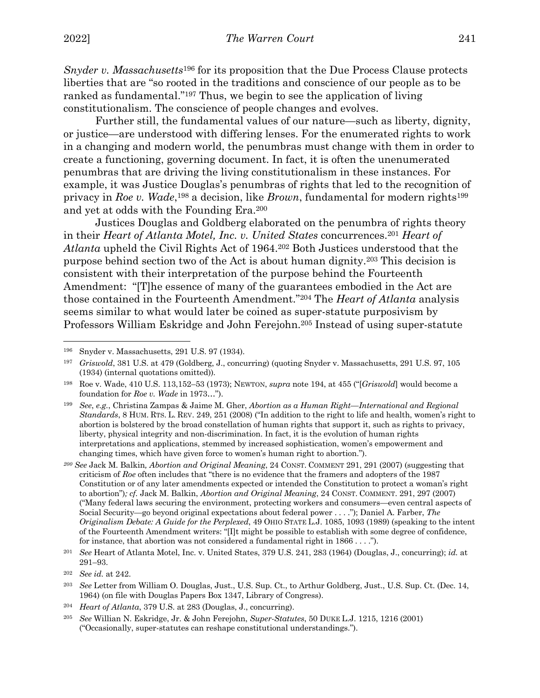*Snyder v. Massachusetts*<sup>196</sup> for its proposition that the Due Process Clause protects liberties that are "so rooted in the traditions and conscience of our people as to be ranked as fundamental."197 Thus, we begin to see the application of living constitutionalism. The conscience of people changes and evolves.

Further still, the fundamental values of our nature—such as liberty, dignity, or justice—are understood with differing lenses. For the enumerated rights to work in a changing and modern world, the penumbras must change with them in order to create a functioning, governing document. In fact, it is often the unenumerated penumbras that are driving the living constitutionalism in these instances. For example, it was Justice Douglas's penumbras of rights that led to the recognition of privacy in *Roe v. Wade*,198 a decision, like *Brown*, fundamental for modern rights199 and yet at odds with the Founding Era.200

Justices Douglas and Goldberg elaborated on the penumbra of rights theory in their *Heart of Atlanta Motel, Inc. v. United States* concurrences.201 *Heart of Atlanta* upheld the Civil Rights Act of 1964.202 Both Justices understood that the purpose behind section two of the Act is about human dignity.203 This decision is consistent with their interpretation of the purpose behind the Fourteenth Amendment: "[T]he essence of many of the guarantees embodied in the Act are those contained in the Fourteenth Amendment."204 The *Heart of Atlanta* analysis seems similar to what would later be coined as super-statute purposivism by Professors William Eskridge and John Ferejohn.205 Instead of using super-statute

<sup>196</sup> Snyder v. Massachusetts, 291 U.S. 97 (1934).

<sup>197</sup> *Griswold*, 381 U.S. at 479 (Goldberg, J., concurring) (quoting Snyder v. Massachusetts, 291 U.S. 97, 105 (1934) (internal quotations omitted))*.*

<sup>198</sup> Roe v. Wade, 410 U.S. 113,152–53 (1973); NEWTON, *supra* note 194, at 455 ("[*Griswold*] would become a foundation for *Roe v. Wade* in 1973…").

<sup>199</sup> *See*, *e.g.*, Christina Zampas & Jaime M. Gher, *Abortion as a Human Right—International and Regional Standards*, 8 HUM. RTS. L. REV. 249, 251 (2008) ("In addition to the right to life and health, women's right to abortion is bolstered by the broad constellation of human rights that support it, such as rights to privacy, liberty, physical integrity and non-discrimination. In fact, it is the evolution of human rights interpretations and applications, stemmed by increased sophistication, women's empowerment and changing times, which have given force to women's human right to abortion.").

*<sup>200</sup> See* Jack M. Balkin*, Abortion and Original Meaning*, 24 CONST. COMMENT 291, 291 (2007) (suggesting that criticism of *Roe* often includes that "there is no evidence that the framers and adopters of the 1987 Constitution or of any later amendments expected or intended the Constitution to protect a woman's right to abortion")*; cf.* Jack M. Balkin, *Abortion and Original Meaning*, 24 CONST. COMMENT. 291, 297 (2007) ("Many federal laws securing the environment, protecting workers and consumers—even central aspects of Social Security—go beyond original expectations about federal power . . . ."); Daniel A. Farber, *The Originalism Debate: A Guide for the Perplexed*, 49 OHIO STATE L.J. 1085, 1093 (1989) (speaking to the intent of the Fourteenth Amendment writers: "[I]t might be possible to establish with some degree of confidence, for instance, that abortion was not considered a fundamental right in 1866 . . . .").

<sup>201</sup> *See* Heart of Atlanta Motel, Inc. v. United States, 379 U.S. 241, 283 (1964) (Douglas, J., concurring); *id.* at 291–93.

<sup>202</sup> *See id.* at 242.

<sup>203</sup> *See* Letter from William O. Douglas, Just., U.S. Sup. Ct., to Arthur Goldberg, Just., U.S. Sup. Ct. (Dec. 14, 1964) (on file with Douglas Papers Box 1347, Library of Congress).

<sup>204</sup> *Heart of Atlanta*, 379 U.S. at 283 (Douglas, J., concurring).

<sup>205</sup> *See* Willian N. Eskridge, Jr. & John Ferejohn, *Super-Statutes*, 50 DUKE L.J. 1215, 1216 (2001) ("Occasionally, super-statutes can reshape constitutional understandings.").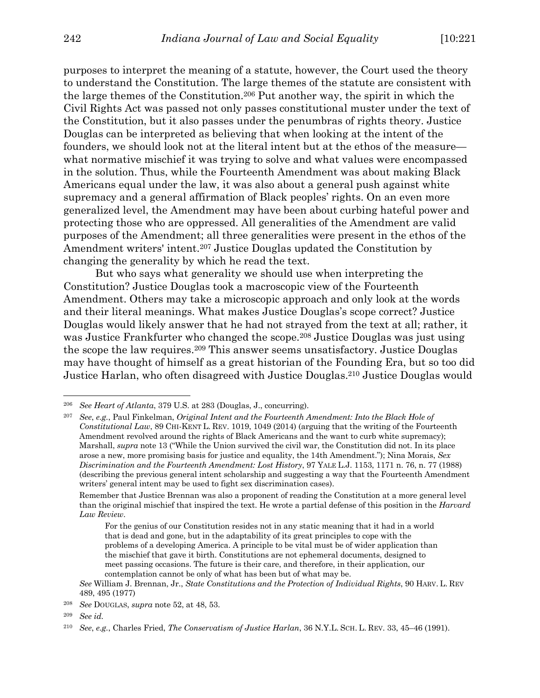purposes to interpret the meaning of a statute, however, the Court used the theory to understand the Constitution. The large themes of the statute are consistent with the large themes of the Constitution.206 Put another way, the spirit in which the Civil Rights Act was passed not only passes constitutional muster under the text of the Constitution, but it also passes under the penumbras of rights theory. Justice Douglas can be interpreted as believing that when looking at the intent of the founders, we should look not at the literal intent but at the ethos of the measure what normative mischief it was trying to solve and what values were encompassed in the solution. Thus, while the Fourteenth Amendment was about making Black Americans equal under the law, it was also about a general push against white supremacy and a general affirmation of Black peoples' rights. On an even more generalized level, the Amendment may have been about curbing hateful power and protecting those who are oppressed. All generalities of the Amendment are valid purposes of the Amendment; all three generalities were present in the ethos of the Amendment writers' intent.<sup>207</sup> Justice Douglas updated the Constitution by changing the generality by which he read the text.

But who says what generality we should use when interpreting the Constitution? Justice Douglas took a macroscopic view of the Fourteenth Amendment. Others may take a microscopic approach and only look at the words and their literal meanings. What makes Justice Douglas's scope correct? Justice Douglas would likely answer that he had not strayed from the text at all; rather, it was Justice Frankfurter who changed the scope.208 Justice Douglas was just using the scope the law requires.209 This answer seems unsatisfactory. Justice Douglas may have thought of himself as a great historian of the Founding Era, but so too did Justice Harlan, who often disagreed with Justice Douglas.210 Justice Douglas would

<sup>206</sup> *See Heart of Atlanta*, 379 U.S. at 283 (Douglas, J., concurring).

<sup>207</sup> *See*, *e.g.*, Paul Finkelman, *Original Intent and the Fourteenth Amendment: Into the Black Hole of Constitutional Law*, 89 CHI-KENT L. REV. 1019, 1049 (2014) (arguing that the writing of the Fourteenth Amendment revolved around the rights of Black Americans and the want to curb white supremacy); Marshall, *supra* note 13 ("While the Union survived the civil war, the Constitution did not. In its place arose a new, more promising basis for justice and equality, the 14th Amendment."); Nina Morais, *Sex Discrimination and the Fourteenth Amendment: Lost History*, 97 YALE L.J. 1153, 1171 n. 76, n. 77 (1988) (describing the previous general intent scholarship and suggesting a way that the Fourteenth Amendment writers' general intent may be used to fight sex discrimination cases).

Remember that Justice Brennan was also a proponent of reading the Constitution at a more general level than the original mischief that inspired the text. He wrote a partial defense of this position in the *Harvard Law Review*.

For the genius of our Constitution resides not in any static meaning that it had in a world that is dead and gone, but in the adaptability of its great principles to cope with the problems of a developing America. A principle to be vital must be of wider application than the mischief that gave it birth. Constitutions are not ephemeral documents, designed to meet passing occasions. The future is their care, and therefore, in their application, our contemplation cannot be only of what has been but of what may be.

*See* William J. Brennan, Jr., *State Constitutions and the Protection of Individual Rights*, 90 HARV. L. REV 489, 495 (1977)

<sup>208</sup> *See* DOUGLAS, *supra* note 52, at 48, 53.

<sup>209</sup> *See id.*

<sup>210</sup> *See*, *e.g.*, Charles Fried, *The Conservatism of Justice Harlan*, 36 N.Y.L. SCH. L. REV. 33, 45–46 (1991).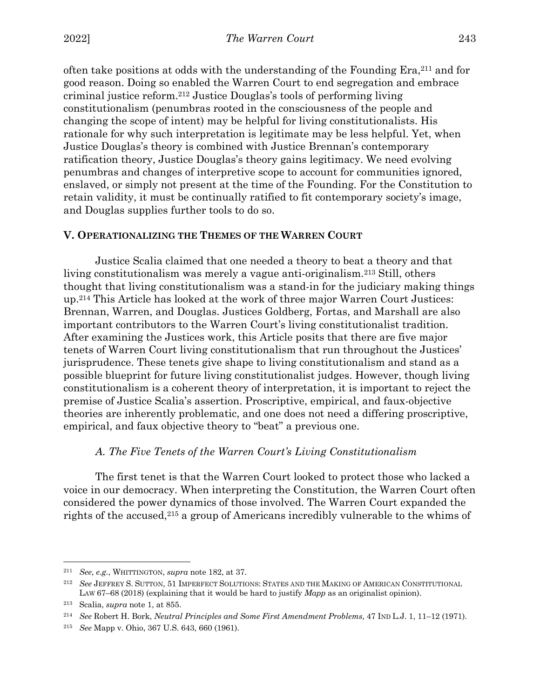often take positions at odds with the understanding of the Founding  $\text{Era},^{211}$  and for good reason. Doing so enabled the Warren Court to end segregation and embrace criminal justice reform.212 Justice Douglas's tools of performing living constitutionalism (penumbras rooted in the consciousness of the people and changing the scope of intent) may be helpful for living constitutionalists. His rationale for why such interpretation is legitimate may be less helpful. Yet, when Justice Douglas's theory is combined with Justice Brennan's contemporary ratification theory, Justice Douglas's theory gains legitimacy. We need evolving penumbras and changes of interpretive scope to account for communities ignored, enslaved, or simply not present at the time of the Founding. For the Constitution to retain validity, it must be continually ratified to fit contemporary society's image, and Douglas supplies further tools to do so.

# **V. OPERATIONALIZING THE THEMES OF THE WARREN COURT**

Justice Scalia claimed that one needed a theory to beat a theory and that living constitutionalism was merely a vague anti-originalism.213 Still, others thought that living constitutionalism was a stand-in for the judiciary making things up.214 This Article has looked at the work of three major Warren Court Justices: Brennan, Warren, and Douglas. Justices Goldberg, Fortas, and Marshall are also important contributors to the Warren Court's living constitutionalist tradition. After examining the Justices work, this Article posits that there are five major tenets of Warren Court living constitutionalism that run throughout the Justices' jurisprudence. These tenets give shape to living constitutionalism and stand as a possible blueprint for future living constitutionalist judges. However, though living constitutionalism is a coherent theory of interpretation, it is important to reject the premise of Justice Scalia's assertion. Proscriptive, empirical, and faux-objective theories are inherently problematic, and one does not need a differing proscriptive, empirical, and faux objective theory to "beat" a previous one.

#### *A. The Five Tenets of the Warren Court's Living Constitutionalism*

The first tenet is that the Warren Court looked to protect those who lacked a voice in our democracy. When interpreting the Constitution, the Warren Court often considered the power dynamics of those involved. The Warren Court expanded the rights of the accused,215 a group of Americans incredibly vulnerable to the whims of

<sup>211</sup> *See*, *e.g.*, WHITTINGTON, *supra* note 182, at 37.

<sup>212</sup> *See* JEFFREY S. SUTTON, 51 IMPERFECT SOLUTIONS: STATES AND THE MAKING OF AMERICAN CONSTITUTIONAL LAW 67–68 (2018) (explaining that it would be hard to justify *Mapp* as an originalist opinion).

<sup>213</sup> Scalia, *supra* note 1, at 855.

<sup>214</sup> *See* Robert H. Bork, *Neutral Principles and Some First Amendment Problems*, 47 IND L.J. 1, 11–12 (1971).

<sup>215</sup> *See* Mapp v. Ohio, 367 U.S. 643, 660 (1961).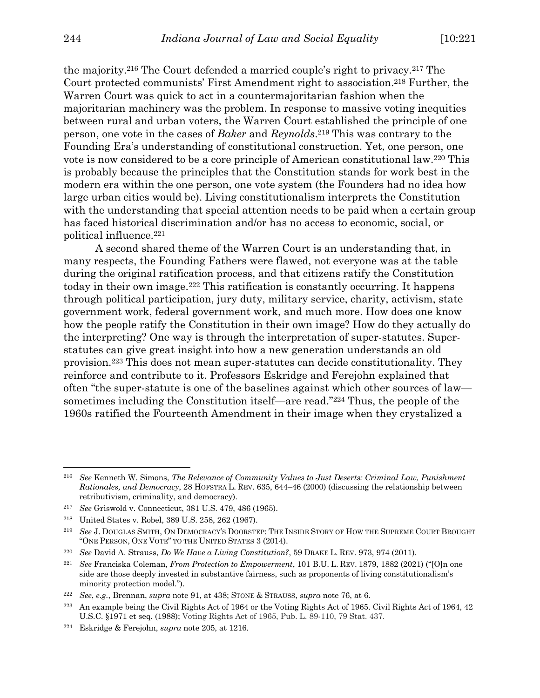the majority.216 The Court defended a married couple's right to privacy.217 The Court protected communists' First Amendment right to association.218 Further, the Warren Court was quick to act in a countermajoritarian fashion when the majoritarian machinery was the problem. In response to massive voting inequities between rural and urban voters, the Warren Court established the principle of one person, one vote in the cases of *Baker* and *Reynolds*.219 This was contrary to the Founding Era's understanding of constitutional construction. Yet, one person, one vote is now considered to be a core principle of American constitutional law.220 This is probably because the principles that the Constitution stands for work best in the modern era within the one person, one vote system (the Founders had no idea how large urban cities would be). Living constitutionalism interprets the Constitution with the understanding that special attention needs to be paid when a certain group has faced historical discrimination and/or has no access to economic, social, or political influence.221

A second shared theme of the Warren Court is an understanding that, in many respects, the Founding Fathers were flawed, not everyone was at the table during the original ratification process, and that citizens ratify the Constitution today in their own image.222 This ratification is constantly occurring. It happens through political participation, jury duty, military service, charity, activism, state government work, federal government work, and much more. How does one know how the people ratify the Constitution in their own image? How do they actually do the interpreting? One way is through the interpretation of super-statutes. Superstatutes can give great insight into how a new generation understands an old provision.223 This does not mean super-statutes can decide constitutionality. They reinforce and contribute to it. Professors Eskridge and Ferejohn explained that often "the super-statute is one of the baselines against which other sources of law sometimes including the Constitution itself—are read."224 Thus, the people of the 1960s ratified the Fourteenth Amendment in their image when they crystalized a

<sup>216</sup> *See* Kenneth W. Simons, *The Relevance of Community Values to Just Deserts: Criminal Law, Punishment Rationales, and Democracy*, 28 HOFSTRA L. REV. 635, 644–46 (2000) (discussing the relationship between retributivism, criminality, and democracy).

<sup>217</sup> *See* Griswold v. Connecticut, 381 U.S. 479, 486 (1965).

<sup>218</sup> United States v. Robel, 389 U.S. 258, 262 (1967).

<sup>219</sup> *See* J. DOUGLAS SMITH, ON DEMOCRACY'S DOORSTEP: THE INSIDE STORY OF HOW THE SUPREME COURT BROUGHT "ONE PERSON, ONE VOTE" TO THE UNITED STATES 3 (2014).

<sup>220</sup> *See* David A. Strauss, *Do We Have a Living Constitution?*, 59 DRAKE L. REV. 973, 974 (2011).

<sup>221</sup> *See* Franciska Coleman, *From Protection to Empowerment*, 101 B.U. L. REV. 1879, 1882 (2021) ("[O]n one side are those deeply invested in substantive fairness, such as proponents of living constitutionalism's minority protection model.").

<sup>222</sup> *See*, *e.g.*, Brennan, *supra* note 91, at 438; STONE & STRAUSS, *supra* note 76, at 6.

<sup>223</sup> An example being the Civil Rights Act of 1964 or the Voting Rights Act of 1965. Civil Rights Act of 1964, 42 U.S.C. §1971 et seq. (1988); Voting Rights Act of 1965, Pub. L. 89-110, 79 Stat. 437.

<sup>224</sup> Eskridge & Ferejohn, *supra* note 205, at 1216.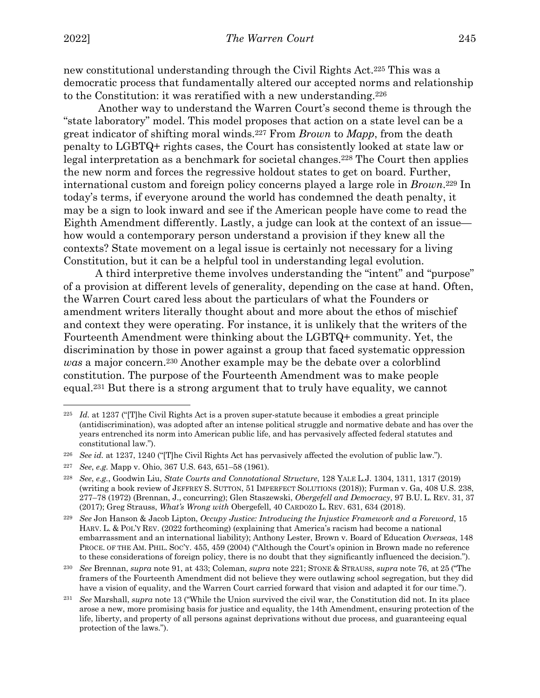new constitutional understanding through the Civil Rights Act.225 This was a democratic process that fundamentally altered our accepted norms and relationship to the Constitution: it was reratified with a new understanding.226

Another way to understand the Warren Court's second theme is through the "state laboratory" model. This model proposes that action on a state level can be a great indicator of shifting moral winds.227 From *Brown* to *Mapp*, from the death penalty to LGBTQ+ rights cases, the Court has consistently looked at state law or legal interpretation as a benchmark for societal changes.228 The Court then applies the new norm and forces the regressive holdout states to get on board. Further, international custom and foreign policy concerns played a large role in *Brown*.229 In today's terms, if everyone around the world has condemned the death penalty, it may be a sign to look inward and see if the American people have come to read the Eighth Amendment differently. Lastly, a judge can look at the context of an issue how would a contemporary person understand a provision if they knew all the contexts? State movement on a legal issue is certainly not necessary for a living Constitution, but it can be a helpful tool in understanding legal evolution.

A third interpretive theme involves understanding the "intent" and "purpose" of a provision at different levels of generality, depending on the case at hand. Often, the Warren Court cared less about the particulars of what the Founders or amendment writers literally thought about and more about the ethos of mischief and context they were operating. For instance, it is unlikely that the writers of the Fourteenth Amendment were thinking about the LGBTQ+ community. Yet, the discrimination by those in power against a group that faced systematic oppression *was* a major concern.230 Another example may be the debate over a colorblind constitution. The purpose of the Fourteenth Amendment was to make people equal.231 But there is a strong argument that to truly have equality, we cannot

<sup>225</sup> *Id.* at 1237 ("[T]he Civil Rights Act is a proven super-statute because it embodies a great principle (antidiscrimination), was adopted after an intense political struggle and normative debate and has over the years entrenched its norm into American public life, and has pervasively affected federal statutes and constitutional law.").

<sup>226</sup> *See id.* at 1237, 1240 ("[T]he Civil Rights Act has pervasively affected the evolution of public law.").

<sup>227</sup> *See*, *e.g.* Mapp v. Ohio, 367 U.S. 643, 651–58 (1961).

<sup>228</sup> *See*, *e.g.*, Goodwin Liu, *State Courts and Connotational Structure*, 128 YALE L.J. 1304, 1311, 1317 (2019) (writing a book review of JEFFREY S. SUTTON, 51 IMPERFECT SOLUTIONS (2018)); Furman v. Ga, 408 U.S. 238, 277–78 (1972) (Brennan, J., concurring); Glen Staszewski, *Obergefell and Democracy*, 97 B.U. L. REV. 31, 37 (2017); Greg Strauss, *What's Wrong with* Obergefell, 40 CARDOZO L. REV. 631, 634 (2018).

<sup>229</sup> *See* Jon Hanson & Jacob Lipton, *Occupy Justice: Introducing the Injustice Framework and a Foreword*, 15 HARV. L. & POL'Y REV. (2022 forthcoming) (explaining that America's racism had become a national embarrassment and an international liability); Anthony Lester, Brown v. Board of Education *Overseas*, 148 PROCE. OF THE AM. PHIL. SOC'Y. 455, 459 (2004) ("Although the Court's opinion in Brown made no reference to these considerations of foreign policy, there is no doubt that they significantly influenced the decision.").

<sup>230</sup> *See* Brennan, *supra* note 91, at 433; Coleman, *supra* note 221; STONE & STRAUSS, *supra* note 76, at 25 ("The framers of the Fourteenth Amendment did not believe they were outlawing school segregation, but they did have a vision of equality, and the Warren Court carried forward that vision and adapted it for our time.").

<sup>231</sup> *See* Marshall, *supra* note 13 ("While the Union survived the civil war, the Constitution did not. In its place arose a new, more promising basis for justice and equality, the 14th Amendment, ensuring protection of the life, liberty, and property of all persons against deprivations without due process, and guaranteeing equal protection of the laws.").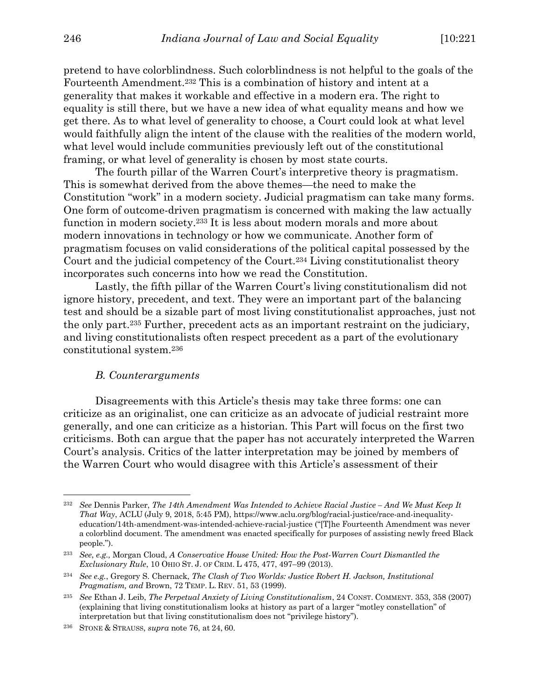pretend to have colorblindness. Such colorblindness is not helpful to the goals of the Fourteenth Amendment.232 This is a combination of history and intent at a generality that makes it workable and effective in a modern era. The right to equality is still there, but we have a new idea of what equality means and how we get there. As to what level of generality to choose, a Court could look at what level would faithfully align the intent of the clause with the realities of the modern world, what level would include communities previously left out of the constitutional framing, or what level of generality is chosen by most state courts.

The fourth pillar of the Warren Court's interpretive theory is pragmatism. This is somewhat derived from the above themes—the need to make the Constitution "work" in a modern society. Judicial pragmatism can take many forms. One form of outcome-driven pragmatism is concerned with making the law actually function in modern society.233 It is less about modern morals and more about modern innovations in technology or how we communicate. Another form of pragmatism focuses on valid considerations of the political capital possessed by the Court and the judicial competency of the Court.234 Living constitutionalist theory incorporates such concerns into how we read the Constitution.

Lastly, the fifth pillar of the Warren Court's living constitutionalism did not ignore history, precedent, and text. They were an important part of the balancing test and should be a sizable part of most living constitutionalist approaches, just not the only part.235 Further, precedent acts as an important restraint on the judiciary, and living constitutionalists often respect precedent as a part of the evolutionary constitutional system.236

#### *B. Counterarguments*

Disagreements with this Article's thesis may take three forms: one can criticize as an originalist, one can criticize as an advocate of judicial restraint more generally, and one can criticize as a historian. This Part will focus on the first two criticisms. Both can argue that the paper has not accurately interpreted the Warren Court's analysis. Critics of the latter interpretation may be joined by members of the Warren Court who would disagree with this Article's assessment of their

<sup>232</sup> *See* Dennis Parker, *The 14th Amendment Was Intended to Achieve Racial Justice – And We Must Keep It That Way*, ACLU (July 9, 2018, 5:45 PM), https://www.aclu.org/blog/racial-justice/race-and-inequalityeducation/14th-amendment-was-intended-achieve-racial-justice ("[T]he Fourteenth Amendment was never a colorblind document. The amendment was enacted specifically for purposes of assisting newly freed Black people.").

<sup>233</sup> *See*, *e.g.,* Morgan Cloud, *A Conservative House United: How the Post-Warren Court Dismantled the Exclusionary Rule*, 10 OHIO ST. J. OF CRIM. L 475, 477, 497–99 (2013).

<sup>234</sup> *See e.g.*, Gregory S. Chernack, *The Clash of Two Worlds: Justice Robert H. Jackson, Institutional Pragmatism, and* Brown, 72 TEMP. L. REV. 51, 53 (1999).

<sup>235</sup> *See* Ethan J. Leib, *The Perpetual Anxiety of Living Constitutionalism*, 24 CONST. COMMENT. 353, 358 (2007) (explaining that living constitutionalism looks at history as part of a larger "motley constellation" of interpretation but that living constitutionalism does not "privilege history").

<sup>236</sup> STONE & STRAUSS, *supra* note 76, at 24, 60.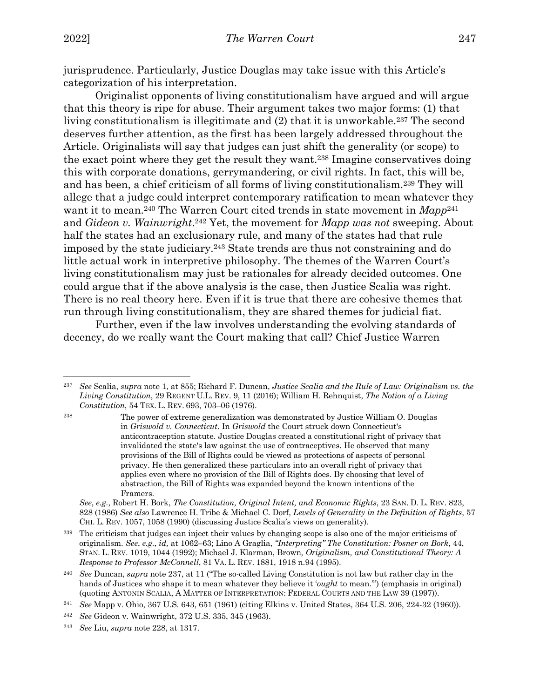jurisprudence. Particularly, Justice Douglas may take issue with this Article's categorization of his interpretation.

Originalist opponents of living constitutionalism have argued and will argue that this theory is ripe for abuse. Their argument takes two major forms: (1) that living constitutionalism is illegitimate and (2) that it is unworkable.<sup>237</sup> The second deserves further attention, as the first has been largely addressed throughout the Article. Originalists will say that judges can just shift the generality (or scope) to the exact point where they get the result they want.238 Imagine conservatives doing this with corporate donations, gerrymandering, or civil rights. In fact, this will be, and has been, a chief criticism of all forms of living constitutionalism.239 They will allege that a judge could interpret contemporary ratification to mean whatever they want it to mean.<sup>240</sup> The Warren Court cited trends in state movement in  $Map^{241}$ and *Gideon v. Wainwright*.242 Yet, the movement for *Mapp was not* sweeping. About half the states had an exclusionary rule, and many of the states had that rule imposed by the state judiciary.243 State trends are thus not constraining and do little actual work in interpretive philosophy. The themes of the Warren Court's living constitutionalism may just be rationales for already decided outcomes. One could argue that if the above analysis is the case, then Justice Scalia was right. There is no real theory here. Even if it is true that there are cohesive themes that run through living constitutionalism, they are shared themes for judicial fiat.

Further, even if the law involves understanding the evolving standards of decency, do we really want the Court making that call? Chief Justice Warren

*See*, *e.g.*, Robert H. Bork, *The Constitution, Original Intent, and Economic Rights*, 23 SAN. D. L. REV. 823, 828 (1986) *See also* Lawrence H. Tribe & Michael C. Dorf, *Levels of Generality in the Definition of Rights*, 57 CHI. L. REV. 1057, 1058 (1990) (discussing Justice Scalia's views on generality).

<sup>237</sup> *See* Scalia, *supra* note 1, at 855; Richard F. Duncan, *Justice Scalia and the Rule of Law: Originalism vs. the Living Constitution*, 29 REGENT U.L. REV. 9, 11 (2016); William H. Rehnquist, *The Notion of a Living Constitution*, 54 TEX. L. REV. 693, 703–06 (1976).

<sup>238</sup> The power of extreme generalization was demonstrated by Justice William O. Douglas in *Griswold v. Connecticut*. In *Griswold* the Court struck down Connecticut's anticontraception statute. Justice Douglas created a constitutional right of privacy that invalidated the state's law against the use of contraceptives. He observed that many provisions of the Bill of Rights could be viewed as protections of aspects of personal privacy. He then generalized these particulars into an overall right of privacy that applies even where no provision of the Bill of Rights does. By choosing that level of abstraction, the Bill of Rights was expanded beyond the known intentions of the Framers.

<sup>239</sup> The criticism that judges can inject their values by changing scope is also one of the major criticisms of originalism. *See*, *e.g.*, *id,* at 1062–63; Lino A Graglia, *"Interpreting" The Constitution: Posner on Bork*, 44, STAN. L. REV. 1019, 1044 (1992); Michael J. Klarman, Brown*, Originalism, and Constitutional Theory: A Response to Professor McConnell*, 81 VA. L. REV. 1881, 1918 n.94 (1995).

<sup>240</sup> *See* Duncan, *supra* note 237, at 11 ("The so-called Living Constitution is not law but rather clay in the hands of Justices who shape it to mean whatever they believe it '*ought* to mean.'") (emphasis in original) (quoting ANTONIN SCALIA, A MATTER OF INTERPRETATION: FEDERAL COURTS AND THE LAW 39 (1997)).

<sup>241</sup> *See* Mapp v. Ohio, 367 U.S. 643, 651 (1961) (citing Elkins v. United States, 364 U.S. 206, 224-32 (1960)).

<sup>242</sup> *See* Gideon v. Wainwright, 372 U.S. 335, 345 (1963).

<sup>243</sup> *See* Liu, *supra* note 228, at 1317.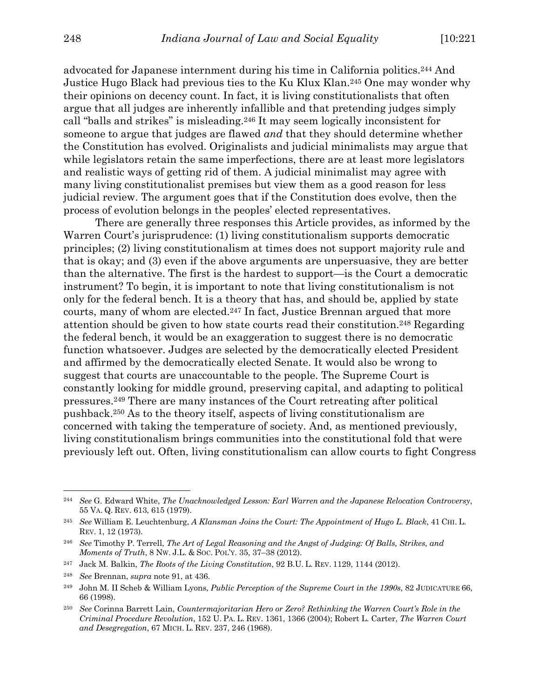advocated for Japanese internment during his time in California politics.244 And Justice Hugo Black had previous ties to the Ku Klux Klan.245 One may wonder why their opinions on decency count. In fact, it is living constitutionalists that often argue that all judges are inherently infallible and that pretending judges simply call "balls and strikes" is misleading.246 It may seem logically inconsistent for someone to argue that judges are flawed *and* that they should determine whether the Constitution has evolved. Originalists and judicial minimalists may argue that while legislators retain the same imperfections, there are at least more legislators and realistic ways of getting rid of them. A judicial minimalist may agree with many living constitutionalist premises but view them as a good reason for less judicial review. The argument goes that if the Constitution does evolve, then the process of evolution belongs in the peoples' elected representatives.

There are generally three responses this Article provides, as informed by the Warren Court's jurisprudence: (1) living constitutionalism supports democratic principles; (2) living constitutionalism at times does not support majority rule and that is okay; and (3) even if the above arguments are unpersuasive, they are better than the alternative. The first is the hardest to support—is the Court a democratic instrument? To begin, it is important to note that living constitutionalism is not only for the federal bench. It is a theory that has, and should be, applied by state courts, many of whom are elected.247 In fact, Justice Brennan argued that more attention should be given to how state courts read their constitution.248 Regarding the federal bench, it would be an exaggeration to suggest there is no democratic function whatsoever. Judges are selected by the democratically elected President and affirmed by the democratically elected Senate. It would also be wrong to suggest that courts are unaccountable to the people. The Supreme Court is constantly looking for middle ground, preserving capital, and adapting to political pressures.249 There are many instances of the Court retreating after political pushback.250 As to the theory itself, aspects of living constitutionalism are concerned with taking the temperature of society. And, as mentioned previously, living constitutionalism brings communities into the constitutional fold that were previously left out. Often, living constitutionalism can allow courts to fight Congress

<sup>244</sup> *See* G. Edward White, *The Unacknowledged Lesson: Earl Warren and the Japanese Relocation Controversy*, 55 VA. Q. REV. 613, 615 (1979).

<sup>245</sup> *See* William E. Leuchtenburg, *A Klansman Joins the Court: The Appointment of Hugo L. Black*, 41 CHI. L. REV. 1, 12 (1973).

<sup>246</sup> *See* Timothy P. Terrell, *The Art of Legal Reasoning and the Angst of Judging: Of Balls, Strikes, and Moments of Truth*, 8 NW. J.L. & SOC. POL'Y. 35, 37–38 (2012).

<sup>247</sup> Jack M. Balkin, *The Roots of the Living Constitution*, 92 B.U. L. REV. 1129, 1144 (2012).

<sup>248</sup> *See* Brennan, *supra* note 91, at 436.

<sup>249</sup> John M. II Scheb & William Lyons, *Public Perception of the Supreme Court in the 1990s*, 82 JUDICATURE 66, 66 (1998).

<sup>250</sup> *See* Corinna Barrett Lain, *Countermajoritarian Hero or Zero? Rethinking the Warren Court's Role in the Criminal Procedure Revolution*, 152 U. PA. L. REV. 1361, 1366 (2004); Robert L. Carter, *The Warren Court and Desegregation*, 67 MICH. L. REV. 237, 246 (1968).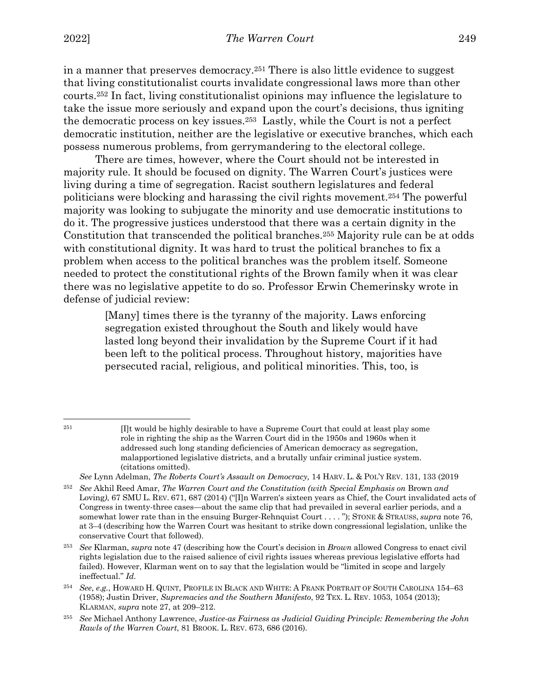in a manner that preserves democracy.251 There is also little evidence to suggest that living constitutionalist courts invalidate congressional laws more than other courts.252 In fact, living constitutionalist opinions may influence the legislature to take the issue more seriously and expand upon the court's decisions, thus igniting the democratic process on key issues.253 Lastly, while the Court is not a perfect democratic institution, neither are the legislative or executive branches, which each possess numerous problems, from gerrymandering to the electoral college.

There are times, however, where the Court should not be interested in majority rule. It should be focused on dignity. The Warren Court's justices were living during a time of segregation. Racist southern legislatures and federal politicians were blocking and harassing the civil rights movement.254 The powerful majority was looking to subjugate the minority and use democratic institutions to do it. The progressive justices understood that there was a certain dignity in the Constitution that transcended the political branches.255 Majority rule can be at odds with constitutional dignity. It was hard to trust the political branches to fix a problem when access to the political branches was the problem itself. Someone needed to protect the constitutional rights of the Brown family when it was clear there was no legislative appetite to do so. Professor Erwin Chemerinsky wrote in defense of judicial review:

> [Many] times there is the tyranny of the majority. Laws enforcing segregation existed throughout the South and likely would have lasted long beyond their invalidation by the Supreme Court if it had been left to the political process. Throughout history, majorities have persecuted racial, religious, and political minorities. This, too, is

*See* Lynn Adelman, *The Roberts Court's Assault on Democracy,* 14 HARV. L. & POL'Y REV. 131, 133 (2019

<sup>&</sup>lt;sup>251</sup> [I]t would be highly desirable to have a Supreme Court that could at least play some role in righting the ship as the Warren Court did in the 1950s and 1960s when it addressed such long standing deficiencies of American democracy as segregation, malapportioned legislative districts, and a brutally unfair criminal justice system. (citations omitted).

<sup>252</sup> *See* Akhil Reed Amar, *The Warren Court and the Constitution (with Special Emphasis on* Brown *and*  Loving), 67 SMU L. REV. 671, 687 (2014) ("[I]n Warren's sixteen years as Chief, the Court invalidated acts of Congress in twenty-three cases—about the same clip that had prevailed in several earlier periods, and a somewhat lower rate than in the ensuing Burger-Rehnquist Court . . . . "); STONE & STRAUSS, *supra* note 76, at 3–4 (describing how the Warren Court was hesitant to strike down congressional legislation, unlike the conservative Court that followed).

<sup>253</sup> *See* Klarman, *supra* note 47 (describing how the Court's decision in *Brown* allowed Congress to enact civil rights legislation due to the raised salience of civil rights issues whereas previous legislative efforts had failed). However, Klarman went on to say that the legislation would be "limited in scope and largely ineffectual." *Id.*

<sup>254</sup> *See*, *e.g.*, HOWARD H. QUINT, PROFILE IN BLACK AND WHITE: A FRANK PORTRAIT OF SOUTH CAROLINA 154–63 (1958); Justin Driver, *Supremacies and the Southern Manifesto*, 92 TEX. L. REV. 1053, 1054 (2013); KLARMAN, *supra* note 27, at 209–212.

<sup>255</sup> *See* Michael Anthony Lawrence, *Justice-as Fairness as Judicial Guiding Principle: Remembering the John Rawls of the Warren Court*, 81 BROOK. L. REV. 673, 686 (2016).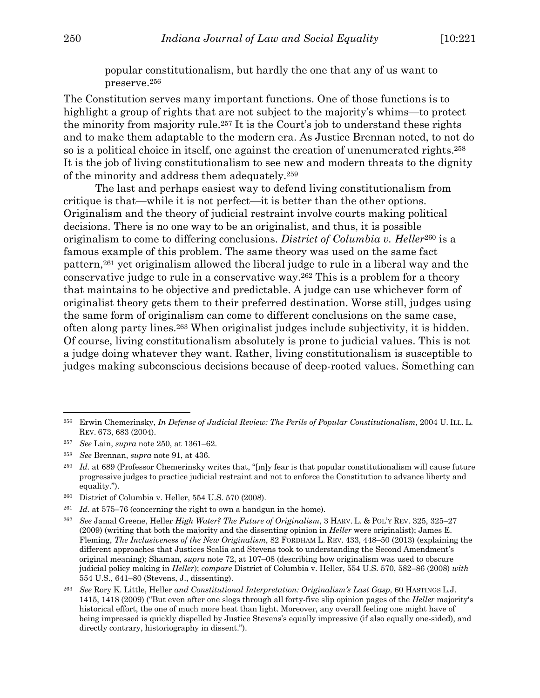popular constitutionalism, but hardly the one that any of us want to preserve.256

The Constitution serves many important functions. One of those functions is to highlight a group of rights that are not subject to the majority's whims—to protect the minority from majority rule.257 It is the Court's job to understand these rights and to make them adaptable to the modern era. As Justice Brennan noted, to not do so is a political choice in itself, one against the creation of unenumerated rights.258 It is the job of living constitutionalism to see new and modern threats to the dignity of the minority and address them adequately.259

The last and perhaps easiest way to defend living constitutionalism from critique is that—while it is not perfect—it is better than the other options. Originalism and the theory of judicial restraint involve courts making political decisions. There is no one way to be an originalist, and thus, it is possible originalism to come to differing conclusions. *District of Columbia v. Heller*<sup>260</sup> is a famous example of this problem. The same theory was used on the same fact pattern,261 yet originalism allowed the liberal judge to rule in a liberal way and the conservative judge to rule in a conservative way.262 This is a problem for a theory that maintains to be objective and predictable. A judge can use whichever form of originalist theory gets them to their preferred destination. Worse still, judges using the same form of originalism can come to different conclusions on the same case, often along party lines.263 When originalist judges include subjectivity, it is hidden. Of course, living constitutionalism absolutely is prone to judicial values. This is not a judge doing whatever they want. Rather, living constitutionalism is susceptible to judges making subconscious decisions because of deep-rooted values. Something can

<sup>256</sup> Erwin Chemerinsky, *In Defense of Judicial Review: The Perils of Popular Constitutionalism*, 2004 U. ILL. L. REV. 673, 683 (2004).

<sup>257</sup> *See* Lain, *supra* note 250, at 1361–62.

<sup>258</sup> *See* Brennan, *supra* note 91, at 436.

<sup>259</sup> *Id.* at 689 (Professor Chemerinsky writes that, "[m]y fear is that popular constitutionalism will cause future progressive judges to practice judicial restraint and not to enforce the Constitution to advance liberty and equality.").

<sup>260</sup> District of Columbia v. Heller, 554 U.S. 570 (2008).

<sup>&</sup>lt;sup>261</sup> *Id.* at 575–76 (concerning the right to own a handgun in the home).

<sup>262</sup> *See* Jamal Greene, Heller *High Water? The Future of Originalism*, 3 HARV. L. & POL'Y REV. 325, 325–27 (2009) (writing that both the majority and the dissenting opinion in *Heller* were originalist); James E. Fleming, *The Inclusiveness of the New Originalism*, 82 FORDHAM L. REV. 433, 448–50 (2013) (explaining the different approaches that Justices Scalia and Stevens took to understanding the Second Amendment's original meaning); Shaman, *supra* note 72, at 107–08 (describing how originalism was used to obscure judicial policy making in *Heller*); *compare* District of Columbia v. Heller, 554 U.S. 570, 582–86 (2008) *with* 554 U.S., 641–80 (Stevens, J., dissenting).

<sup>263</sup> *See* Rory K. Little, Heller *and Constitutional Interpretation: Originalism's Last Gasp*, 60 HASTINGS L.J. 1415, 1418 (2009) ("But even after one slogs through all forty-five slip opinion pages of the *Heller* majority's historical effort, the one of much more heat than light. Moreover, any overall feeling one might have of being impressed is quickly dispelled by Justice Stevens's equally impressive (if also equally one-sided), and directly contrary, historiography in dissent.").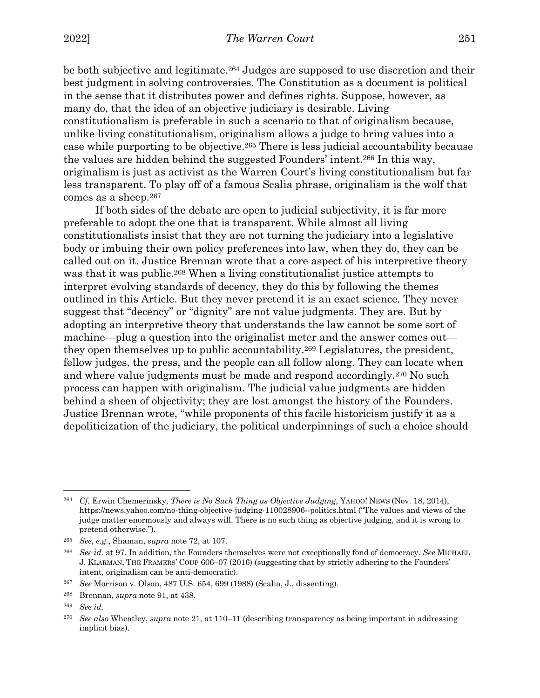be both subjective and legitimate.264 Judges are supposed to use discretion and their best judgment in solving controversies. The Constitution as a document is political in the sense that it distributes power and defines rights. Suppose, however, as many do, that the idea of an objective judiciary is desirable. Living constitutionalism is preferable in such a scenario to that of originalism because, unlike living constitutionalism, originalism allows a judge to bring values into a case while purporting to be objective.265 There is less judicial accountability because the values are hidden behind the suggested Founders' intent.266 In this way, originalism is just as activist as the Warren Court's living constitutionalism but far less transparent. To play off of a famous Scalia phrase, originalism is the wolf that comes as a sheep.267

If both sides of the debate are open to judicial subjectivity, it is far more preferable to adopt the one that is transparent. While almost all living constitutionalists insist that they are not turning the judiciary into a legislative body or imbuing their own policy preferences into law, when they do, they can be called out on it. Justice Brennan wrote that a core aspect of his interpretive theory was that it was public.<sup>268</sup> When a living constitutionalist justice attempts to interpret evolving standards of decency, they do this by following the themes outlined in this Article. But they never pretend it is an exact science. They never suggest that "decency" or "dignity" are not value judgments. They are. But by adopting an interpretive theory that understands the law cannot be some sort of machine—plug a question into the originalist meter and the answer comes out they open themselves up to public accountability.269 Legislatures, the president, fellow judges, the press, and the people can all follow along. They can locate when and where value judgments must be made and respond accordingly.270 No such process can happen with originalism. The judicial value judgments are hidden behind a sheen of objectivity; they are lost amongst the history of the Founders. Justice Brennan wrote, "while proponents of this facile historicism justify it as a depoliticization of the judiciary, the political underpinnings of such a choice should

<sup>264</sup> *Cf.* Erwin Chemerinsky, *There is No Such Thing as Objective Judging*, YAHOO! NEWS (Nov. 18, 2014), https://news.yahoo.com/no-thing-objective-judging-110028906--politics.html ("The values and views of the judge matter enormously and always will. There is no such thing as objective judging, and it is wrong to pretend otherwise.").

<sup>265</sup> *See*, *e.g.*, Shaman, *supra* note 72, at 107.

<sup>266</sup> *See id.* at 97. In addition, the Founders themselves were not exceptionally fond of democracy. *See* MICHAEL J. KLARMAN, THE FRAMERS' COUP 606–07 (2016) (suggesting that by strictly adhering to the Founders' intent, originalism can be anti-democratic).

<sup>267</sup> *See* Morrison v. Olson, 487 U.S. 654, 699 (1988) (Scalia, J., dissenting).

<sup>268</sup> Brennan, *supra* note 91, at 438.

<sup>269</sup> *See id.*

<sup>270</sup> *See also* Wheatley, *supra* note 21, at 110–11 (describing transparency as being important in addressing implicit bias).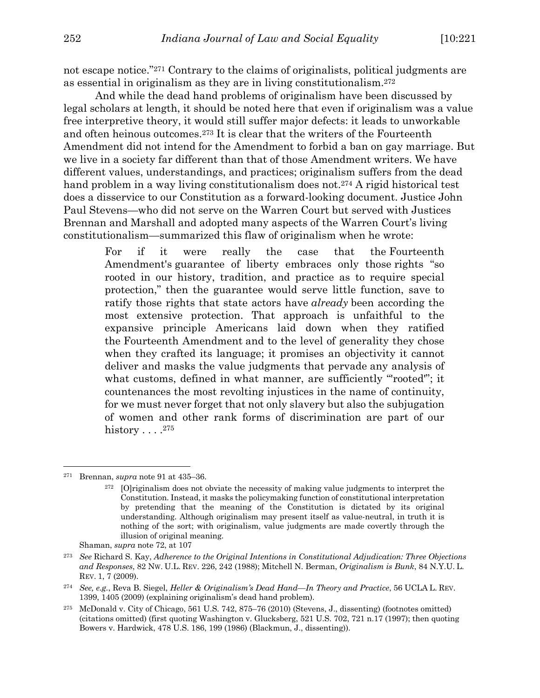not escape notice."271 Contrary to the claims of originalists, political judgments are as essential in originalism as they are in living constitutionalism.272

And while the dead hand problems of originalism have been discussed by legal scholars at length, it should be noted here that even if originalism was a value free interpretive theory, it would still suffer major defects: it leads to unworkable and often heinous outcomes.273 It is clear that the writers of the Fourteenth Amendment did not intend for the Amendment to forbid a ban on gay marriage. But we live in a society far different than that of those Amendment writers. We have different values, understandings, and practices; originalism suffers from the dead hand problem in a way living constitutionalism does not.<sup>274</sup> A rigid historical test does a disservice to our Constitution as a forward-looking document. Justice John Paul Stevens—who did not serve on the Warren Court but served with Justices Brennan and Marshall and adopted many aspects of the Warren Court's living constitutionalism—summarized this flaw of originalism when he wrote:

> For if it were really the case that the Fourteenth Amendment's guarantee of liberty embraces only those rights "so rooted in our history, tradition, and practice as to require special protection," then the guarantee would serve little function, save to ratify those rights that state actors have *already* been according the most extensive protection. That approach is unfaithful to the expansive principle Americans laid down when they ratified the Fourteenth Amendment and to the level of generality they chose when they crafted its language; it promises an objectivity it cannot deliver and masks the value judgments that pervade any analysis of what customs, defined in what manner, are sufficiently "rooted"; it countenances the most revolting injustices in the name of continuity, for we must never forget that not only slavery but also the subjugation of women and other rank forms of discrimination are part of our history  $\ldots$  .<sup>275</sup>

<sup>271</sup> Brennan, *supra* note 91 at 435–36.

<sup>272</sup> [O]riginalism does not obviate the necessity of making value judgments to interpret the Constitution. Instead, it masks the policymaking function of constitutional interpretation by pretending that the meaning of the Constitution is dictated by its original understanding. Although originalism may present itself as value-neutral, in truth it is nothing of the sort; with originalism, value judgments are made covertly through the illusion of original meaning.

Shaman, *supra* note 72, at 107

<sup>273</sup> *See* Richard S. Kay, *Adherence to the Original Intentions in Constitutional Adjudication: Three Objections and Responses*, 82 NW. U.L. REV. 226, 242 (1988); Mitchell N. Berman, *Originalism is Bunk*, 84 N.Y.U. L. REV. 1, 7 (2009).

<sup>274</sup> *See, e.g.*, Reva B. Siegel, *Heller & Originalism's Dead Hand—In Theory and Practice*, 56 UCLA L. REV. 1399, 1405 (2009) (explaining originalism's dead hand problem).

<sup>275</sup> McDonald v. City of Chicago, 561 U.S. 742, 875–76 (2010) (Stevens, J., dissenting) (footnotes omitted) (citations omitted) (first quoting Washington v. Glucksberg, 521 U.S. 702, 721 n.17 (1997); then quoting Bowers v. Hardwick, 478 U.S. 186, 199 (1986) (Blackmun, J., dissenting)).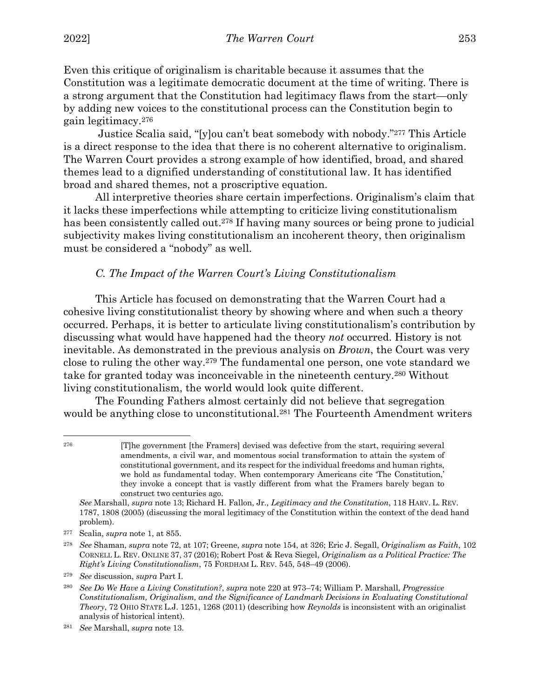Even this critique of originalism is charitable because it assumes that the Constitution was a legitimate democratic document at the time of writing. There is a strong argument that the Constitution had legitimacy flaws from the start—only by adding new voices to the constitutional process can the Constitution begin to gain legitimacy.276

Justice Scalia said, "[y]ou can't beat somebody with nobody."277 This Article is a direct response to the idea that there is no coherent alternative to originalism. The Warren Court provides a strong example of how identified, broad, and shared themes lead to a dignified understanding of constitutional law. It has identified broad and shared themes, not a proscriptive equation.

All interpretive theories share certain imperfections. Originalism's claim that it lacks these imperfections while attempting to criticize living constitutionalism has been consistently called out.<sup>278</sup> If having many sources or being prone to judicial subjectivity makes living constitutionalism an incoherent theory, then originalism must be considered a "nobody" as well.

## *C. The Impact of the Warren Court's Living Constitutionalism*

This Article has focused on demonstrating that the Warren Court had a cohesive living constitutionalist theory by showing where and when such a theory occurred. Perhaps, it is better to articulate living constitutionalism's contribution by discussing what would have happened had the theory *not* occurred. History is not inevitable. As demonstrated in the previous analysis on *Brown*, the Court was very close to ruling the other way.279 The fundamental one person, one vote standard we take for granted today was inconceivable in the nineteenth century.280 Without living constitutionalism, the world would look quite different.

The Founding Fathers almost certainly did not believe that segregation would be anything close to unconstitutional.<sup>281</sup> The Fourteenth Amendment writers

<sup>276</sup> [T]he government [the Framers] devised was defective from the start, requiring several amendments, a civil war, and momentous social transformation to attain the system of constitutional government, and its respect for the individual freedoms and human rights, we hold as fundamental today. When contemporary Americans cite 'The Constitution,' they invoke a concept that is vastly different from what the Framers barely began to construct two centuries ago.

*See* Marshall, *supra* note 13; Richard H. Fallon, Jr., *Legitimacy and the Constitution*, 118 HARV. L. REV. 1787, 1808 (2005) (discussing the moral legitimacy of the Constitution within the context of the dead hand problem).

<sup>277</sup> Scalia, *supra* note 1, at 855.

<sup>278</sup> *See* Shaman, *supra* note 72, at 107; Greene, *supra* note 154, at 326; Eric J. Segall, *Originalism as Faith*, 102 CORNELL L. REV. ONLINE 37, 37 (2016); Robert Post & Reva Siegel, *Originalism as a Political Practice: The Right's Living Constitutionalism*, 75 FORDHAM L. REV. 545, 548–49 (2006).

<sup>279</sup> *See* discussion, *supra* Part I.

<sup>280</sup> *See Do We Have a Living Constitution?*, *supra* note 220 at 973–74; William P. Marshall, *Progressive Constitutionalism, Originalism, and the Significance of Landmark Decisions in Evaluating Constitutional Theory*, 72 OHIO STATE L.J. 1251, 1268 (2011) (describing how *Reynolds* is inconsistent with an originalist analysis of historical intent).

<sup>281</sup> *See* Marshall, *supra* note 13.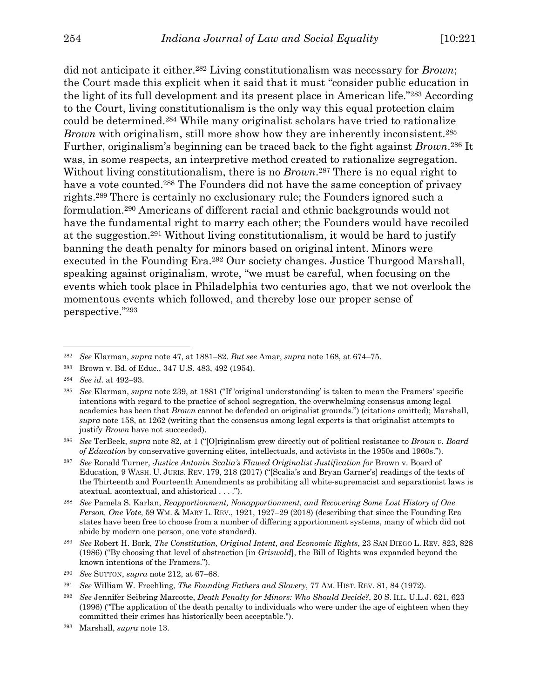did not anticipate it either.282 Living constitutionalism was necessary for *Brown*; the Court made this explicit when it said that it must "consider public education in the light of its full development and its present place in American life."283 According to the Court, living constitutionalism is the only way this equal protection claim could be determined.284 While many originalist scholars have tried to rationalize *Brown* with originalism, still more show how they are inherently inconsistent.<sup>285</sup> Further, originalism's beginning can be traced back to the fight against *Brown*.286 It was, in some respects, an interpretive method created to rationalize segregation. Without living constitutionalism, there is no *Brown*.<sup>287</sup> There is no equal right to have a vote counted.<sup>288</sup> The Founders did not have the same conception of privacy rights.289 There is certainly no exclusionary rule; the Founders ignored such a formulation.290 Americans of different racial and ethnic backgrounds would not have the fundamental right to marry each other; the Founders would have recoiled at the suggestion.291 Without living constitutionalism, it would be hard to justify banning the death penalty for minors based on original intent. Minors were executed in the Founding Era.<sup>292</sup> Our society changes. Justice Thurgood Marshall, speaking against originalism, wrote, "we must be careful, when focusing on the events which took place in Philadelphia two centuries ago, that we not overlook the momentous events which followed, and thereby lose our proper sense of perspective."293

<sup>289</sup> *See* Robert H. Bork, *The Constitution, Original Intent, and Economic Rights*, 23 SAN DIEGO L. REV. 823, 828 (1986) ("By choosing that level of abstraction [in *Griswold*], the Bill of Rights was expanded beyond the known intentions of the Framers.").

<sup>282</sup> *See* Klarman, *supra* note 47, at 1881–82. *But see* Amar, *supra* note 168, at 674–75.

<sup>283</sup> Brown v. Bd. of Educ*.*, 347 U.S. 483, 492 (1954).

<sup>284</sup> *See id.* at 492–93.

<sup>285</sup> *See* Klarman, *supra* note 239, at 1881 ("If 'original understanding' is taken to mean the Framers' specific intentions with regard to the practice of school segregation, the overwhelming consensus among legal academics has been that *Brown* cannot be defended on originalist grounds.") (citations omitted); Marshall, *supra* note 158, at 1262 (writing that the consensus among legal experts is that originalist attempts to justify *Brown* have not succeeded).

<sup>286</sup> *See* TerBeek, *supra* note 82, at 1 ("[O]riginalism grew directly out of political resistance to *Brown v. Board of Education* by conservative governing elites, intellectuals, and activists in the 1950s and 1960s.").

<sup>287</sup> *See* Ronald Turner, *Justice Antonin Scalia's Flawed Originalist Justification for* Brown v. Board of Education, 9 WASH. U. JURIS. REV. 179, 218 (2017) ("[Scalia's and Bryan Garner's] readings of the texts of the Thirteenth and Fourteenth Amendments as prohibiting all white-supremacist and separationist laws is atextual, acontextual, and ahistorical . . . .").

<sup>288</sup> *See* Pamela S. Karlan, *Reapportionment, Nonapportionment, and Recovering Some Lost History of One Person, One Vote*, 59 WM. & MARY L. REV., 1921, 1927–29 (2018) (describing that since the Founding Era states have been free to choose from a number of differing apportionment systems, many of which did not abide by modern one person, one vote standard).

<sup>290</sup> *See* SUTTON, *supra* note 212, at 67–68.

<sup>291</sup> *See* William W. Freehling, *The Founding Fathers and Slavery*, 77 AM. HIST. REV. 81, 84 (1972).

<sup>292</sup> *See* Jennifer Seibring Marcotte, *Death Penalty for Minors: Who Should Decide?*, 20 S. ILL. U.L.J. 621, 623 (1996) ("The application of the death penalty to individuals who were under the age of eighteen when they committed their crimes has historically been acceptable.").

<sup>293</sup> Marshall, *supra* note 13.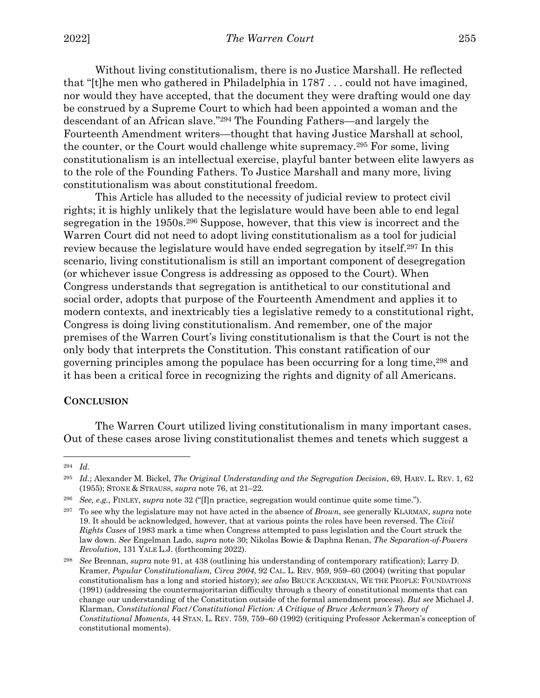Without living constitutionalism, there is no Justice Marshall. He reflected that "[t]he men who gathered in Philadelphia in 1787 . . . could not have imagined, nor would they have accepted, that the document they were drafting would one day be construed by a Supreme Court to which had been appointed a woman and the descendant of an African slave."294 The Founding Fathers—and largely the Fourteenth Amendment writers—thought that having Justice Marshall at school, the counter, or the Court would challenge white supremacy.295 For some, living constitutionalism is an intellectual exercise, playful banter between elite lawyers as to the role of the Founding Fathers. To Justice Marshall and many more, living constitutionalism was about constitutional freedom.

This Article has alluded to the necessity of judicial review to protect civil rights; it is highly unlikely that the legislature would have been able to end legal segregation in the 1950s.296 Suppose, however, that this view is incorrect and the Warren Court did not need to adopt living constitutionalism as a tool for judicial review because the legislature would have ended segregation by itself.297 In this scenario, living constitutionalism is still an important component of desegregation (or whichever issue Congress is addressing as opposed to the Court). When Congress understands that segregation is antithetical to our constitutional and social order, adopts that purpose of the Fourteenth Amendment and applies it to modern contexts, and inextricably ties a legislative remedy to a constitutional right, Congress is doing living constitutionalism. And remember, one of the major premises of the Warren Court's living constitutionalism is that the Court is not the only body that interprets the Constitution. This constant ratification of our governing principles among the populace has been occurring for a long time,298 and it has been a critical force in recognizing the rights and dignity of all Americans.

#### **CONCLUSION**

The Warren Court utilized living constitutionalism in many important cases. Out of these cases arose living constitutionalist themes and tenets which suggest a

<sup>294</sup> *Id.*

<sup>295</sup> *Id.*; Alexander M. Bickel, *The Original Understanding and the Segregation Decision*, 69, HARV. L. REV. 1, 62 (1955); STONE & STRAUSS, *supra* note 76, at 21–22.

<sup>296</sup> *See, e.g.*, FINLEY, *supra* note 32 ("[I]n practice, segregation would continue quite some time.").

<sup>297</sup> To see why the legislature may not have acted in the absence of *Brown*, see generally KLARMAN, *supra* note 19. It should be acknowledged, however, that at various points the roles have been reversed. The *Civil Rights Cases* of 1983 mark a time when Congress attempted to pass legislation and the Court struck the law down. *See* Engelman Lado, *supra* note 30; Nikolas Bowie & Daphna Renan, *The Separation-of-Powers Revolution*, 131 YALE L.J. (forthcoming 2022).

<sup>298</sup> *See* Brennan, *supra* note 91, at 438 (outlining his understanding of contemporary ratification); Larry D. Kramer, *Popular Constitutionalism, Circa 2004*, 92 CAL. L. REV. 959, 959–60 (2004) (writing that popular constitutionalism has a long and storied history); *see also* BRUCE ACKERMAN, WE THE PEOPLE: FOUNDATIONS (1991) (addressing the countermajoritarian difficulty through a theory of constitutional moments that can change our understanding of the Constitution outside of the formal amendment process). *But see* Michael J. Klarman, *Constitutional Fact/Constitutional Fiction: A Critique of Bruce Ackerman's Theory of Constitutional Moments*, 44 STAN. L. REV. 759, 759–60 (1992) (critiquing Professor Ackerman's conception of constitutional moments).